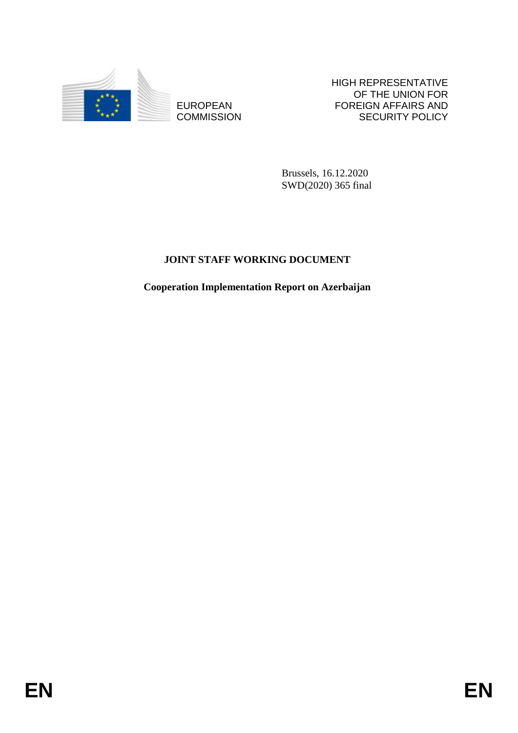

**COMMISSION** 

HIGH REPRESENTATIVE OF THE UNION FOR FOREIGN AFFAIRS AND SECURITY POLICY

Brussels, 16.12.2020 SWD(2020) 365 final

# **JOINT STAFF WORKING DOCUMENT**

EUROPEAN FOREIGN FRANS AND FOREIGN AFFAIRS AND COMMUSSION<br>
ENGANGERING COMMUSSION<br>
SWAQ2000 365 final<br>
JOINT STAFF WORKING DOCUMENT<br>
Cooperation Implementation Report on Azerbaijan<br>
FOR<br>
EN **Cooperation Implementation Report on Azerbaijan**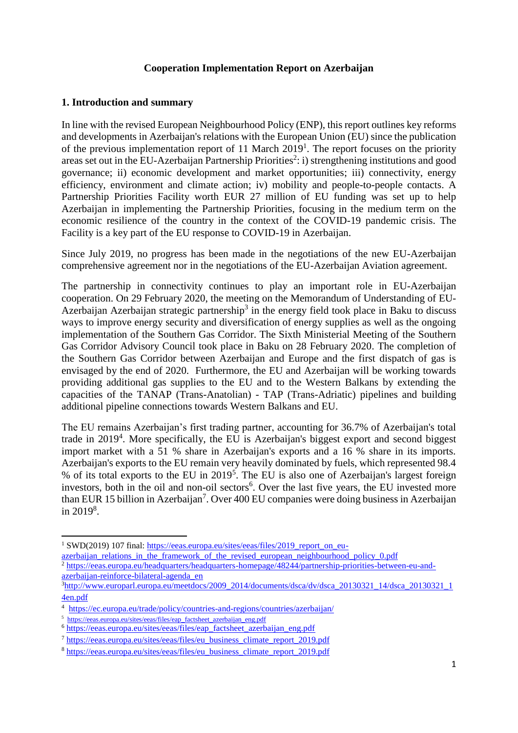### **Cooperation Implementation Report on Azerbaijan**

### **1. Introduction and summary**

In line with the revised European Neighbourhood Policy (ENP), this report outlines key reforms and developments in Azerbaijan's relations with the European Union (EU) since the publication of the previous implementation report of 11 March 2019<sup>1</sup>. The report focuses on the priority areas set out in the EU-Azerbaijan Partnership Priorities<sup>2</sup>: i) strengthening institutions and good governance; ii) economic development and market opportunities; iii) connectivity, energy efficiency, environment and climate action; iv) mobility and people-to-people contacts. A Partnership Priorities Facility worth EUR 27 million of EU funding was set up to help Azerbaijan in implementing the Partnership Priorities, focusing in the medium term on the economic resilience of the country in the context of the COVID-19 pandemic crisis. The Facility is a key part of the EU response to COVID-19 in Azerbaijan.

Since July 2019, no progress has been made in the negotiations of the new EU-Azerbaijan comprehensive agreement nor in the negotiations of the EU-Azerbaijan Aviation agreement.

The partnership in connectivity continues to play an important role in EU-Azerbaijan cooperation. On 29 February 2020, the meeting on the Memorandum of Understanding of EU-Azerbaijan Azerbaijan strategic partnership<sup>3</sup> in the energy field took place in Baku to discuss ways to improve energy security and diversification of energy supplies as well as the ongoing implementation of the Southern Gas Corridor. The Sixth Ministerial Meeting of the Southern Gas Corridor Advisory Council took place in Baku on 28 February 2020. The completion of the Southern Gas Corridor between Azerbaijan and Europe and the first dispatch of gas is envisaged by the end of 2020. Furthermore, the EU and Azerbaijan will be working towards providing additional gas supplies to the EU and to the Western Balkans by extending the capacities of the TANAP (Trans-Anatolian) - TAP (Trans-Adriatic) pipelines and building additional pipeline connections towards Western Balkans and EU.

The EU remains Azerbaijan's first trading partner, accounting for 36.7% of Azerbaijan's total trade in 2019<sup>4</sup>. More specifically, the EU is Azerbaijan's biggest export and second biggest import market with a 51 % share in Azerbaijan's exports and a 16 % share in its imports. Azerbaijan's exports to the EU remain very heavily dominated by fuels, which represented 98.4 % of its total exports to the EU in 2019<sup>5</sup>. The EU is also one of Azerbaijan's largest foreign investors, both in the oil and non-oil sectors<sup>6</sup>. Over the last five years, the EU invested more than EUR 15 billion in Azerbaijan<sup>7</sup>. Over 400 EU companies were doing business in Azerbaijan in  $2019^8$ .

**.** 

<sup>&</sup>lt;sup>1</sup> SWD(2019) 107 final: [https://eeas.europa.eu/sites/eeas/files/2019\\_report\\_on\\_eu-](https://eeas.europa.eu/sites/eeas/files/2019_report_on_eu-azerbaijan_relations_in_the_framework_of_the_revised_european_neighbourhood_policy_0.pdf)

[azerbaijan\\_relations\\_in\\_the\\_framework\\_of\\_the\\_revised\\_european\\_neighbourhood\\_policy\\_0.pdf](https://eeas.europa.eu/sites/eeas/files/2019_report_on_eu-azerbaijan_relations_in_the_framework_of_the_revised_european_neighbourhood_policy_0.pdf)

<sup>2</sup> [https://eeas.europa.eu/headquarters/headquarters-homepage/48244/partnership-priorities-between-eu-and](https://eeas.europa.eu/headquarters/headquarters-homepage/48244/partnership-priorities-between-eu-and-azerbaijan-reinforce-bilateral-agenda_en)[azerbaijan-reinforce-bilateral-agenda\\_en](https://eeas.europa.eu/headquarters/headquarters-homepage/48244/partnership-priorities-between-eu-and-azerbaijan-reinforce-bilateral-agenda_en)

 $\frac{3}{10}$ [http://www.europarl.europa.eu/meetdocs/2009\\_2014/documents/dsca/dv/dsca\\_20130321\\_14/dsca\\_20130321\\_1](http://www.europarl.europa.eu/meetdocs/2009_2014/documents/dsca/dv/dsca_20130321_14/dsca_20130321_14en.pdf) [4en.pdf](http://www.europarl.europa.eu/meetdocs/2009_2014/documents/dsca/dv/dsca_20130321_14/dsca_20130321_14en.pdf)

<sup>&</sup>lt;sup>4</sup> <https://ec.europa.eu/trade/policy/countries-and-regions/countries/azerbaijan/>

<sup>&</sup>lt;sup>5</sup> [https://eeas.europa.eu/sites/eeas/files/eap\\_factsheet\\_azerbaijan\\_eng.pdf](https://eeas.europa.eu/sites/eeas/files/eap_factsheet_azerbaijan_eng.pdf)

<sup>6</sup> [https://eeas.europa.eu/sites/eeas/files/eap\\_factsheet\\_azerbaijan\\_eng.pdf](https://eeas.europa.eu/sites/eeas/files/eap_factsheet_azerbaijan_eng.pdf)

<sup>7</sup> [https://eeas.europa.eu/sites/eeas/files/eu\\_business\\_climate\\_report\\_2019.pdf](https://eeas.europa.eu/sites/eeas/files/eu_business_climate_report_2019.pdf)

<sup>8</sup> [https://eeas.europa.eu/sites/eeas/files/eu\\_business\\_climate\\_report\\_2019.pdf](https://eeas.europa.eu/sites/eeas/files/eu_business_climate_report_2019.pdf)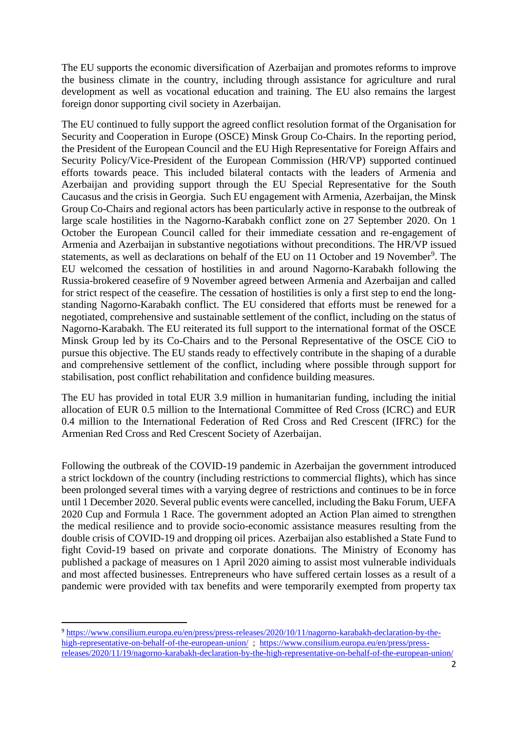The EU supports the economic diversification of Azerbaijan and promotes reforms to improve the business climate in the country, including through assistance for agriculture and rural development as well as vocational education and training. The EU also remains the largest foreign donor supporting civil society in Azerbaijan.

The EU continued to fully support the agreed conflict resolution format of the Organisation for Security and Cooperation in Europe (OSCE) Minsk Group Co-Chairs. In the reporting period, the President of the European Council and the EU High Representative for Foreign Affairs and Security Policy/Vice-President of the European Commission (HR/VP) supported continued efforts towards peace. This included bilateral contacts with the leaders of Armenia and Azerbaijan and providing support through the EU Special Representative for the South Caucasus and the crisis in Georgia. Such EU engagement with Armenia, Azerbaijan, the Minsk Group Co-Chairs and regional actors has been particularly active in response to the outbreak of large scale hostilities in the Nagorno-Karabakh conflict zone on 27 September 2020. On 1 October the European Council called for their immediate cessation and re-engagement of Armenia and Azerbaijan in substantive negotiations without preconditions. The HR/VP issued statements, as well as declarations on behalf of the EU on 11 October and 19 November<sup>9</sup>. The EU welcomed the cessation of hostilities in and around Nagorno-Karabakh following the Russia-brokered ceasefire of 9 November agreed between Armenia and Azerbaijan and called for strict respect of the ceasefire. The cessation of hostilities is only a first step to end the longstanding Nagorno-Karabakh conflict. The EU considered that efforts must be renewed for a negotiated, comprehensive and sustainable settlement of the conflict, including on the status of Nagorno-Karabakh. The EU reiterated its full support to the international format of the OSCE Minsk Group led by its Co-Chairs and to the Personal Representative of the OSCE CiO to pursue this objective. The EU stands ready to effectively contribute in the shaping of a durable and comprehensive settlement of the conflict, including where possible through support for stabilisation, post conflict rehabilitation and confidence building measures.

The EU has provided in total EUR 3.9 million in humanitarian funding, including the initial allocation of EUR 0.5 million to the International Committee of Red Cross (ICRC) and EUR 0.4 million to the International Federation of Red Cross and Red Crescent (IFRC) for the Armenian Red Cross and [Red Crescent Society of Azerbaijan.](https://www.ifrc.org/en/what-we-do/where-we-work/europe/red-crescent-society-of-azerbaijan/)

Following the outbreak of the COVID-19 pandemic in Azerbaijan the government introduced a strict lockdown of the country (including restrictions to commercial flights), which has since been prolonged several times with a varying degree of restrictions and continues to be in force until 1 December 2020. Several public events were cancelled, including the Baku Forum, UEFA 2020 Cup and Formula 1 Race. The government adopted an Action Plan aimed to strengthen the medical resilience and to provide socio-economic assistance measures resulting from the double crisis of COVID-19 and dropping oil prices. Azerbaijan also established a State Fund to fight Covid-19 based on private and corporate donations. The Ministry of Economy has published a package of measures on 1 April 2020 aiming to assist most vulnerable individuals and most affected businesses. Entrepreneurs who have suffered certain losses as a result of a pandemic were provided with tax benefits and were temporarily exempted from property tax

 $\overline{a}$ 

<sup>9</sup> [https://www.consilium.europa.eu/en/press/press-releases/2020/10/11/nagorno-karabakh-declaration-by-the](https://www.consilium.europa.eu/en/press/press-releases/2020/10/11/nagorno-karabakh-declaration-by-the-high-representative-on-behalf-of-the-european-union/)high-representative-on-behalf-of-the-european-union/; [https://www.consilium.europa.eu/en/press/press](https://www.consilium.europa.eu/en/press/press-releases/2020/11/19/nagorno-karabakh-declaration-by-the-high-representative-on-behalf-of-the-european-union/)[releases/2020/11/19/nagorno-karabakh-declaration-by-the-high-representative-on-behalf-of-the-european-union/](https://www.consilium.europa.eu/en/press/press-releases/2020/11/19/nagorno-karabakh-declaration-by-the-high-representative-on-behalf-of-the-european-union/)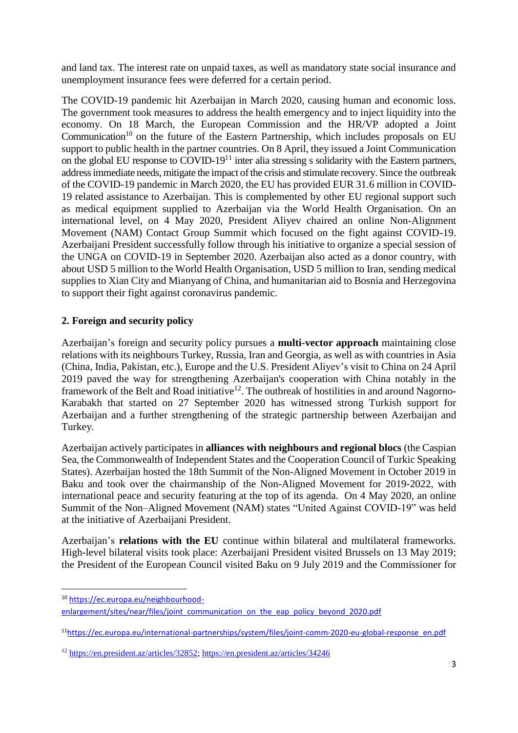and land tax. The interest rate on unpaid taxes, as well as mandatory state social insurance and unemployment insurance fees were deferred for a certain period.

The COVID-19 pandemic hit Azerbaijan in March 2020, causing human and economic loss. The government took measures to address the health emergency and to inject liquidity into the economy. On 18 March, the European Commission and the HR/VP adopted a Joint Communication<sup>10</sup> on the future of the Eastern Partnership, which includes proposals on EU support to public health in the partner countries. On 8 April, they issued a Joint Communication on the global EU response to  $\text{CovID-19}^{11}$  inter alia stressing s solidarity with the Eastern partners, address immediate needs, mitigate the impact of the crisis and stimulate recovery. Since the outbreak of the COVID-19 pandemic in March 2020, the EU has provided EUR 31.6 million in COVID-19 related assistance to Azerbaijan. This is complemented by other EU regional support such as medical equipment supplied to Azerbaijan via the World Health Organisation. On an international level, on 4 May 2020, President Aliyev chaired an online Non-Alignment Movement (NAM) Contact Group Summit which focused on the fight against COVID-19. Azerbaijani President successfully follow through his initiative to organize a special session of the UNGA on COVID-19 in September 2020. Azerbaijan also acted as a donor country, with about USD 5 million to the World Health Organisation, USD 5 million to Iran, sending medical supplies to Xian City and Mianyang of China, and humanitarian aid to Bosnia and Herzegovina to support their fight against coronavirus pandemic.

# **2. Foreign and security policy**

Azerbaijan's foreign and security policy pursues a **multi-vector approach** maintaining close relations with its neighbours Turkey, Russia, Iran and Georgia, as well as with countries in Asia (China, India, Pakistan, etc.), Europe and the U.S. President Aliyev's visit to China on 24 April 2019 paved the way for strengthening Azerbaijan's cooperation with China notably in the framework of the Belt and Road initiative<sup>12</sup>. The outbreak of hostilities in and around Nagorno-Karabakh that started on 27 September 2020 has witnessed strong Turkish support for Azerbaijan and a further strengthening of the strategic partnership between Azerbaijan and Turkey.

Azerbaijan actively participates in **alliances with neighbours and regional blocs** (the Caspian Sea, the Commonwealth of Independent States and the Cooperation Council of Turkic Speaking States). Azerbaijan hosted the 18th Summit of the Non-Aligned Movement in October 2019 in Baku and took over the chairmanship of the Non-Aligned Movement for 2019-2022, with international peace and security featuring at the top of its agenda. On 4 May 2020, an online Summit of the Non–Aligned Movement (NAM) states "United Against COVID-19" was held at the initiative of Azerbaijani President.

Azerbaijan's **relations with the EU** continue within bilateral and multilateral frameworks. High-level bilateral visits took place: Azerbaijani President visited Brussels on 13 May 2019; the President of the European Council visited Baku on 9 July 2019 and the Commissioner for

**<sup>.</sup>** <sup>10</sup> [https://ec.europa.eu/neighbourhood-](https://ec.europa.eu/neighbourhood-enlargement/sites/near/files/joint_communication_on_the_eap_policy_beyond_2020.pdf)

[enlargement/sites/near/files/joint\\_communication\\_on\\_the\\_eap\\_policy\\_beyond\\_2020.pdf](https://ec.europa.eu/neighbourhood-enlargement/sites/near/files/joint_communication_on_the_eap_policy_beyond_2020.pdf)

<sup>11</sup>[https://ec.europa.eu/international-partnerships/system/files/joint-comm-2020-eu-global-response\\_en.pdf](https://ec.europa.eu/international-partnerships/system/files/joint-comm-2020-eu-global-response_en.pdf)

<sup>12</sup> [https://en.president.az/articles/32852;](https://en.president.az/articles/32852)<https://en.president.az/articles/34246>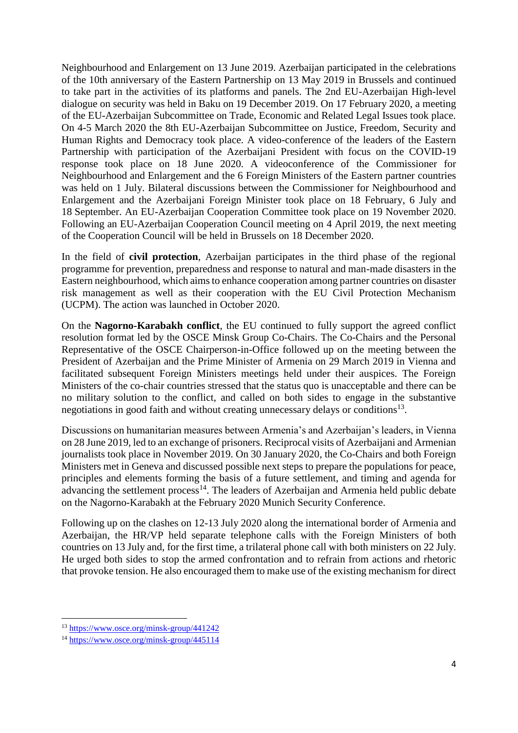Neighbourhood and Enlargement on 13 June 2019. Azerbaijan participated in the celebrations of the 10th anniversary of the Eastern Partnership on 13 May 2019 in Brussels and continued to take part in the activities of its platforms and panels. The 2nd EU-Azerbaijan High-level dialogue on security was held in Baku on 19 December 2019. On 17 February 2020, a meeting of the EU-Azerbaijan Subcommittee on Trade, Economic and Related Legal Issues took place. On 4-5 March 2020 the 8th EU-Azerbaijan Subcommittee on Justice, Freedom, Security and Human Rights and Democracy took place. A video-conference of the leaders of the Eastern Partnership with participation of the Azerbaijani President with focus on the COVID-19 response took place on 18 June 2020. A videoconference of the Commissioner for Neighbourhood and Enlargement and the 6 Foreign Ministers of the Eastern partner countries was held on 1 July. Bilateral discussions between the Commissioner for Neighbourhood and Enlargement and the Azerbaijani Foreign Minister took place on 18 February, 6 July and 18 September. An EU-Azerbaijan Cooperation Committee took place on 19 November 2020. Following an EU-Azerbaijan Cooperation Council meeting on 4 April 2019, the next meeting of the Cooperation Council will be held in Brussels on 18 December 2020.

In the field of **civil protection**, Azerbaijan participates in the third phase of the regional programme for prevention, preparedness and response to natural and man-made disasters in the Eastern neighbourhood, which aims to enhance cooperation among partner countries on disaster risk management as well as their cooperation with the EU Civil Protection Mechanism (UCPM). The action was launched in October 2020.

On the **Nagorno-Karabakh conflict**, the EU continued to fully support the agreed conflict resolution format led by the OSCE Minsk Group Co-Chairs. The Co-Chairs and the Personal Representative of the OSCE Chairperson-in-Office followed up on the meeting between the President of Azerbaijan and the Prime Minister of Armenia on 29 March 2019 in Vienna and facilitated subsequent Foreign Ministers meetings held under their auspices. The Foreign Ministers of the co-chair countries stressed that the status quo is unacceptable and there can be no military solution to the conflict, and called on both sides to engage in the substantive negotiations in good faith and without creating unnecessary delays or conditions<sup>13</sup>.

Discussions on humanitarian measures between Armenia's and Azerbaijan's leaders, in Vienna on 28 June 2019, led to an exchange of prisoners. Reciprocal visits of Azerbaijani and Armenian journalists took place in November 2019. On 30 January 2020, the Co-Chairs and both Foreign Ministers met in Geneva and discussed possible next steps to prepare the populations for peace, principles and elements forming the basis of a future settlement, and timing and agenda for advancing the settlement process<sup>14</sup>. The leaders of Azerbaijan and Armenia held public debate on the Nagorno-Karabakh at the February 2020 Munich Security Conference.

Following up on the clashes on 12-13 July 2020 along the international border of Armenia and Azerbaijan, the HR/VP held separate telephone calls with the Foreign Ministers of both countries on 13 July and, for the first time, a trilateral phone call with both ministers on 22 July. He urged both sides to stop the armed confrontation and to refrain from actions and rhetoric that provoke tension. He also encouraged them to make use of the existing mechanism for direct

1

<sup>&</sup>lt;sup>13</sup> <https://www.osce.org/minsk-group/441242>

<sup>14</sup> <https://www.osce.org/minsk-group/445114>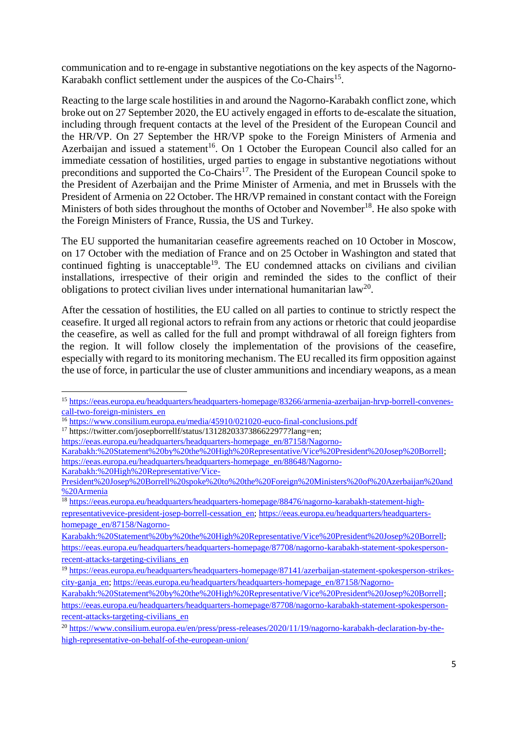communication and to re-engage in substantive negotiations on the key aspects of the Nagorno-Karabakh conflict settlement under the auspices of the Co-Chairs<sup>15</sup>.

Reacting to the large scale hostilities in and around the Nagorno-Karabakh conflict zone, which broke out on 27 September 2020, the EU actively engaged in efforts to de-escalate the situation, including through frequent contacts at the level of the President of the European Council and the HR/VP. On 27 September the HR/VP spoke to the Foreign Ministers of Armenia and Azerbaijan and issued a statement<sup>16</sup>. On 1 October the European Council also called for an immediate cessation of hostilities, urged parties to engage in substantive negotiations without preconditions and supported the Co-Chairs<sup>17</sup>. The President of the European Council spoke to the President of Azerbaijan and the Prime Minister of Armenia, and met in Brussels with the President of Armenia on 22 October. The HR/VP remained in constant contact with the Foreign Ministers of both sides throughout the months of October and November<sup>18</sup>. He also spoke with the Foreign Ministers of France, Russia, the US and Turkey.

The EU supported the humanitarian ceasefire agreements reached on 10 October in Moscow, on 17 October with the mediation of France and on 25 October in Washington and stated that continued fighting is unacceptable<sup>19</sup>. The EU condemned attacks on civilians and civilian installations, irrespective of their origin and reminded the sides to the conflict of their obligations to protect civilian lives under international humanitarian  $law^{20}$ .

After the cessation of hostilities, the EU called on all parties to continue to strictly respect the ceasefire. It urged all regional actors to refrain from any actions or rhetoric that could jeopardise the ceasefire, as well as called for the full and prompt withdrawal of all foreign fighters from the region. It will follow closely the implementation of the provisions of the ceasefire, especially with regard to its monitoring mechanism. The EU recalled its firm opposition against the use of force, in particular the use of cluster ammunitions and incendiary weapons, as a mean

<sup>17</sup> https://twitter.com/josepborrellf/status/1312820337386622977?lang=en;

1

[https://eeas.europa.eu/headquarters/headquarters-homepage\\_en/87158/Nagorno-](https://eeas.europa.eu/headquarters/headquarters-homepage_en/87158/Nagorno-Karabakh:%20Statement%20by%20the%20High%20Representative/Vice%20President%20Josep%20Borrell)

<sup>15</sup> [https://eeas.europa.eu/headquarters/headquarters-homepage/83266/armenia-azerbaijan-hrvp-borrell-convenes](https://eeas.europa.eu/headquarters/headquarters-homepage/83266/armenia-azerbaijan-hrvp-borrell-convenes-call-two-foreign-ministers_en)[call-two-foreign-ministers\\_en](https://eeas.europa.eu/headquarters/headquarters-homepage/83266/armenia-azerbaijan-hrvp-borrell-convenes-call-two-foreign-ministers_en)

<sup>16</sup> <https://www.consilium.europa.eu/media/45910/021020-euco-final-conclusions.pdf>

[Karabakh:%20Statement%20by%20the%20High%20Representative/Vice%20President%20Josep%20Borrell;](https://eeas.europa.eu/headquarters/headquarters-homepage_en/87158/Nagorno-Karabakh:%20Statement%20by%20the%20High%20Representative/Vice%20President%20Josep%20Borrell) [https://eeas.europa.eu/headquarters/headquarters-homepage\\_en/88648/Nagorno-](https://eeas.europa.eu/headquarters/headquarters-homepage_en/88648/Nagorno-Karabakh:%20High%20Representative/Vice-President%20Josep%20Borrell%20spoke%20to%20the%20Foreign%20Ministers%20of%20Azerbaijan%20and%20Armenia)[Karabakh:%20High%20Representative/Vice-](https://eeas.europa.eu/headquarters/headquarters-homepage_en/88648/Nagorno-Karabakh:%20High%20Representative/Vice-President%20Josep%20Borrell%20spoke%20to%20the%20Foreign%20Ministers%20of%20Azerbaijan%20and%20Armenia)

[President%20Josep%20Borrell%20spoke%20to%20the%20Foreign%20Ministers%20of%20Azerbaijan%20and](https://eeas.europa.eu/headquarters/headquarters-homepage_en/88648/Nagorno-Karabakh:%20High%20Representative/Vice-President%20Josep%20Borrell%20spoke%20to%20the%20Foreign%20Ministers%20of%20Azerbaijan%20and%20Armenia) [%20Armenia](https://eeas.europa.eu/headquarters/headquarters-homepage_en/88648/Nagorno-Karabakh:%20High%20Representative/Vice-President%20Josep%20Borrell%20spoke%20to%20the%20Foreign%20Ministers%20of%20Azerbaijan%20and%20Armenia)

<sup>&</sup>lt;sup>18</sup> [https://eeas.europa.eu/headquarters/headquarters-homepage/88476/nagorno-karabakh-statement-high](https://eeas.europa.eu/headquarters/headquarters-homepage/88476/nagorno-karabakh-statement-high-representativevice-president-josep-borrell-cessation_en)[representativevice-president-josep-borrell-cessation\\_en;](https://eeas.europa.eu/headquarters/headquarters-homepage/88476/nagorno-karabakh-statement-high-representativevice-president-josep-borrell-cessation_en) [https://eeas.europa.eu/headquarters/headquarters](https://eeas.europa.eu/headquarters/headquarters-homepage_en/87158/Nagorno-Karabakh:%20Statement%20by%20the%20High%20Representative/Vice%20President%20Josep%20Borrell)[homepage\\_en/87158/Nagorno-](https://eeas.europa.eu/headquarters/headquarters-homepage_en/87158/Nagorno-Karabakh:%20Statement%20by%20the%20High%20Representative/Vice%20President%20Josep%20Borrell)

[Karabakh:%20Statement%20by%20the%20High%20Representative/Vice%20President%20Josep%20Borrell;](https://eeas.europa.eu/headquarters/headquarters-homepage_en/87158/Nagorno-Karabakh:%20Statement%20by%20the%20High%20Representative/Vice%20President%20Josep%20Borrell) [https://eeas.europa.eu/headquarters/headquarters-homepage/87708/nagorno-karabakh-statement-spokesperson](https://eeas.europa.eu/headquarters/headquarters-homepage/87708/nagorno-karabakh-statement-spokesperson-recent-attacks-targeting-civilians_en)[recent-attacks-targeting-civilians\\_en](https://eeas.europa.eu/headquarters/headquarters-homepage/87708/nagorno-karabakh-statement-spokesperson-recent-attacks-targeting-civilians_en)

<sup>&</sup>lt;sup>19</sup> [https://eeas.europa.eu/headquarters/headquarters-homepage/87141/azerbaijan-statement-spokesperson-strikes](https://eeas.europa.eu/headquarters/headquarters-homepage/87141/azerbaijan-statement-spokesperson-strikes-city-ganja_en)[city-ganja\\_en;](https://eeas.europa.eu/headquarters/headquarters-homepage/87141/azerbaijan-statement-spokesperson-strikes-city-ganja_en) [https://eeas.europa.eu/headquarters/headquarters-homepage\\_en/87158/Nagorno-](https://eeas.europa.eu/headquarters/headquarters-homepage_en/87158/Nagorno-Karabakh:%20Statement%20by%20the%20High%20Representative/Vice%20President%20Josep%20Borrell)

[Karabakh:%20Statement%20by%20the%20High%20Representative/Vice%20President%20Josep%20Borrell;](https://eeas.europa.eu/headquarters/headquarters-homepage_en/87158/Nagorno-Karabakh:%20Statement%20by%20the%20High%20Representative/Vice%20President%20Josep%20Borrell) [https://eeas.europa.eu/headquarters/headquarters-homepage/87708/nagorno-karabakh-statement-spokesperson](https://eeas.europa.eu/headquarters/headquarters-homepage/87708/nagorno-karabakh-statement-spokesperson-recent-attacks-targeting-civilians_en)[recent-attacks-targeting-civilians\\_en](https://eeas.europa.eu/headquarters/headquarters-homepage/87708/nagorno-karabakh-statement-spokesperson-recent-attacks-targeting-civilians_en)

<sup>20</sup> [https://www.consilium.europa.eu/en/press/press-releases/2020/11/19/nagorno-karabakh-declaration-by-the](https://www.consilium.europa.eu/en/press/press-releases/2020/11/19/nagorno-karabakh-declaration-by-the-high-representative-on-behalf-of-the-european-union/)[high-representative-on-behalf-of-the-european-union/](https://www.consilium.europa.eu/en/press/press-releases/2020/11/19/nagorno-karabakh-declaration-by-the-high-representative-on-behalf-of-the-european-union/)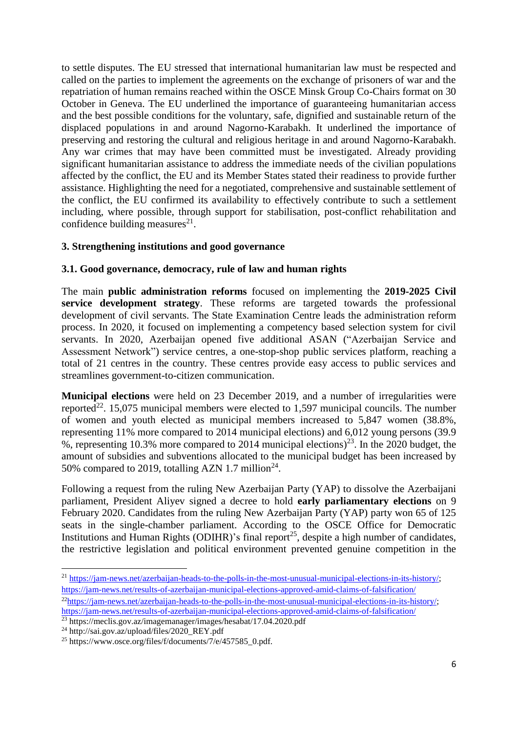to settle disputes. The EU stressed that international humanitarian law must be respected and called on the parties to implement the agreements on the exchange of prisoners of war and the repatriation of human remains reached within the OSCE Minsk Group Co-Chairs format on 30 October in Geneva. The EU underlined the importance of guaranteeing humanitarian access and the best possible conditions for the voluntary, safe, dignified and sustainable return of the displaced populations in and around Nagorno-Karabakh. It underlined the importance of preserving and restoring the cultural and religious heritage in and around Nagorno-Karabakh. Any war crimes that may have been committed must be investigated. Already providing significant humanitarian assistance to address the immediate needs of the civilian populations affected by the conflict, the EU and its Member States stated their readiness to provide further assistance. Highlighting the need for a negotiated, comprehensive and sustainable settlement of the conflict, the EU confirmed its availability to effectively contribute to such a settlement including, where possible, through support for stabilisation, post-conflict rehabilitation and confidence building measures $^{21}$ .

### **3. Strengthening institutions and good governance**

### **3.1. Good governance, democracy, rule of law and human rights**

The main **public administration reforms** focused on implementing the **2019-2025 Civil service development strategy**. These reforms are targeted towards the professional development of civil servants. The State Examination Centre leads the administration reform process. In 2020, it focused on implementing a competency based selection system for civil servants. In 2020, Azerbaijan opened five additional ASAN ("Azerbaijan Service and Assessment Network") service centres, a one-stop-shop public services platform, reaching a total of 21 centres in the country. These centres provide easy access to public services and streamlines government-to-citizen communication.

**Municipal elections** were held on 23 December 2019, and a number of irregularities were reported<sup>22</sup>. 15,075 municipal members were elected to 1,597 municipal councils. The number of women and youth elected as municipal members increased to 5,847 women (38.8%, representing 11% more compared to 2014 municipal elections) and 6,012 young persons (39.9 %, representing 10.3% more compared to 2014 municipal elections)<sup>23</sup>. In the 2020 budget, the amount of subsidies and subventions allocated to the municipal budget has been increased by 50% compared to 2019, totalling AZN 1.7 million<sup>24</sup>.

Following a request from the ruling New Azerbaijan Party (YAP) to dissolve the Azerbaijani parliament, President Aliyev signed a decree to hold **early parliamentary elections** on 9 February 2020. Candidates from the ruling New Azerbaijan Party (YAP) party won 65 of 125 seats in the single-chamber parliament. According to the OSCE Office for Democratic Institutions and Human Rights (ODIHR)'s final report<sup>25</sup>, despite a high number of candidates, the restrictive legislation and political environment prevented genuine competition in the

**.** 

<sup>21</sup> [https://jam-news.net/azerbaijan-heads-to-the-polls-in-the-most-unusual-municipal-elections-in-its-history/;](https://jam-news.net/azerbaijan-heads-to-the-polls-in-the-most-unusual-municipal-elections-in-its-history/) <https://jam-news.net/results-of-azerbaijan-municipal-elections-approved-amid-claims-of-falsification/> <sup>22</sup>[https://jam-news.net/azerbaijan-heads-to-the-polls-in-the-most-unusual-municipal-elections-in-its-history/;](https://jam-news.net/azerbaijan-heads-to-the-polls-in-the-most-unusual-municipal-elections-in-its-history/) <https://jam-news.net/results-of-azerbaijan-municipal-elections-approved-amid-claims-of-falsification/>

<sup>23</sup> https://meclis.gov.az/imagemanager/images/hesabat/17.04.2020.pdf

<sup>24</sup> http://sai.gov.az/upload/files/2020\_REY.pdf

<sup>25</sup> https://www.osce.org/files/f/documents/7/e/457585\_0.pdf.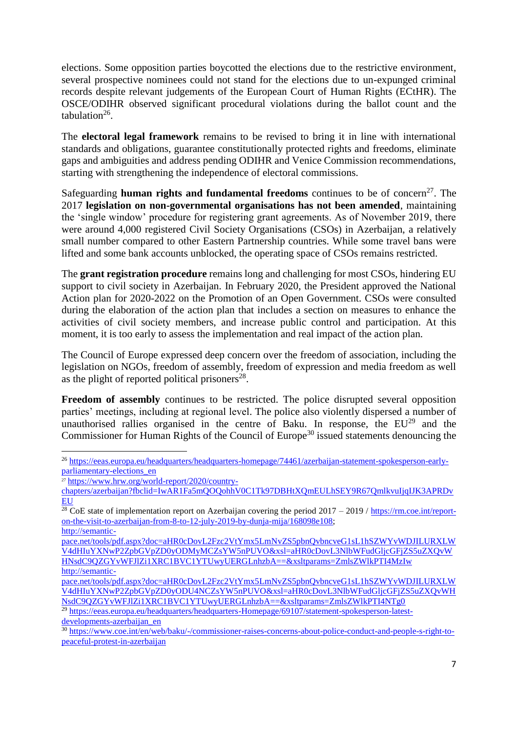elections. Some opposition parties boycotted the elections due to the restrictive environment, several prospective nominees could not stand for the elections due to un-expunged criminal records despite relevant judgements of the European Court of Human Rights (ECtHR). The OSCE/ODIHR observed significant procedural violations during the ballot count and the  $tabulation<sup>26</sup>$ .

The **electoral legal framework** remains to be revised to bring it in line with international standards and obligations, guarantee constitutionally protected rights and freedoms, eliminate gaps and ambiguities and address pending ODIHR and Venice Commission recommendations, starting with strengthening the independence of electoral commissions.

Safeguarding **human rights and fundamental freedoms** continues to be of concern<sup>27</sup>. The 2017 **legislation on non-governmental organisations has not been amended**, maintaining the 'single window' procedure for registering grant agreements. As of November 2019, there were around 4,000 registered Civil Society Organisations (CSOs) in Azerbaijan, a relatively small number compared to other Eastern Partnership countries. While some travel bans were lifted and some bank accounts unblocked, the operating space of CSOs remains restricted.

The **grant registration procedure** remains long and challenging for most CSOs, hindering EU support to civil society in Azerbaijan. In February 2020, the President approved the National Action plan for 2020-2022 on the Promotion of an Open Government. CSOs were consulted during the elaboration of the action plan that includes a section on measures to enhance the activities of civil society members, and increase public control and participation. At this moment, it is too early to assess the implementation and real impact of the action plan.

The Council of Europe expressed deep concern over the freedom of association, including the legislation on NGOs, freedom of assembly, freedom of expression and media freedom as well as the plight of reported political prisoners $^{28}$ .

**Freedom of assembly** continues to be restricted. The police disrupted several opposition parties' meetings, including at regional level. The police also violently dispersed a number of unauthorised rallies organised in the centre of Baku. In response, the  $EU^{29}$  and the Commissioner for Human Rights of the Council of Europe<sup>30</sup> issued statements denouncing the

**<sup>.</sup>** <sup>26</sup> [https://eeas.europa.eu/headquarters/headquarters-homepage/74461/azerbaijan-statement-spokesperson-early](https://eeas.europa.eu/headquarters/headquarters-homepage/74461/azerbaijan-statement-spokesperson-early-parliamentary-elections_en)[parliamentary-elections\\_en](https://eeas.europa.eu/headquarters/headquarters-homepage/74461/azerbaijan-statement-spokesperson-early-parliamentary-elections_en)

<sup>27</sup> [https://www.hrw.org/world-report/2020/country-](https://www.hrw.org/world-report/2020/country-chapters/azerbaijan?fbclid=IwAR1Fa5mQOQohhV0C1Tk97DBHtXQmEULhSEY9R67QmlkvuIjqIJK3APRDvEU)

[chapters/azerbaijan?fbclid=IwAR1Fa5mQOQohhV0C1Tk97DBHtXQmEULhSEY9R67QmlkvuIjqIJK3APRDv](https://www.hrw.org/world-report/2020/country-chapters/azerbaijan?fbclid=IwAR1Fa5mQOQohhV0C1Tk97DBHtXQmEULhSEY9R67QmlkvuIjqIJK3APRDvEU) **[EU](https://www.hrw.org/world-report/2020/country-chapters/azerbaijan?fbclid=IwAR1Fa5mQOQohhV0C1Tk97DBHtXQmEULhSEY9R67QmlkvuIjqIJK3APRDvEU)** 

 $28 \text{CoE}$  state of implementation report on Azerbaijan covering the period 2017 – 2019 / [https://rm.coe.int/report](https://rm.coe.int/report-on-the-visit-to-azerbaijan-from-8-to-12-july-2019-by-dunja-mija/168098e108)[on-the-visit-to-azerbaijan-from-8-to-12-july-2019-by-dunja-mija/168098e108;](https://rm.coe.int/report-on-the-visit-to-azerbaijan-from-8-to-12-july-2019-by-dunja-mija/168098e108) [http://semantic-](http://semantic-pace.net/tools/pdf.aspx?doc=aHR0cDovL2Fzc2VtYmx5LmNvZS5pbnQvbncveG1sL1hSZWYvWDJILURXLWV4dHIuYXNwP2ZpbGVpZD0yODMyMCZsYW5nPUVO&xsl=aHR0cDovL3NlbWFudGljcGFjZS5uZXQvWHNsdC9QZGYvWFJlZi1XRC1BVC1YTUwyUERGLnhzbA==&xsltparams=ZmlsZWlkPTI4MzIw)

[pace.net/tools/pdf.aspx?doc=aHR0cDovL2Fzc2VtYmx5LmNvZS5pbnQvbncveG1sL1hSZWYvWDJILURXLW](http://semantic-pace.net/tools/pdf.aspx?doc=aHR0cDovL2Fzc2VtYmx5LmNvZS5pbnQvbncveG1sL1hSZWYvWDJILURXLWV4dHIuYXNwP2ZpbGVpZD0yODMyMCZsYW5nPUVO&xsl=aHR0cDovL3NlbWFudGljcGFjZS5uZXQvWHNsdC9QZGYvWFJlZi1XRC1BVC1YTUwyUERGLnhzbA==&xsltparams=ZmlsZWlkPTI4MzIw) [V4dHIuYXNwP2ZpbGVpZD0yODMyMCZsYW5nPUVO&xsl=aHR0cDovL3NlbWFudGljcGFjZS5uZXQvW](http://semantic-pace.net/tools/pdf.aspx?doc=aHR0cDovL2Fzc2VtYmx5LmNvZS5pbnQvbncveG1sL1hSZWYvWDJILURXLWV4dHIuYXNwP2ZpbGVpZD0yODMyMCZsYW5nPUVO&xsl=aHR0cDovL3NlbWFudGljcGFjZS5uZXQvWHNsdC9QZGYvWFJlZi1XRC1BVC1YTUwyUERGLnhzbA==&xsltparams=ZmlsZWlkPTI4MzIw) [HNsdC9QZGYvWFJlZi1XRC1BVC1YTUwyUERGLnhzbA==&xsltparams=ZmlsZWlkPTI4MzIw](http://semantic-pace.net/tools/pdf.aspx?doc=aHR0cDovL2Fzc2VtYmx5LmNvZS5pbnQvbncveG1sL1hSZWYvWDJILURXLWV4dHIuYXNwP2ZpbGVpZD0yODMyMCZsYW5nPUVO&xsl=aHR0cDovL3NlbWFudGljcGFjZS5uZXQvWHNsdC9QZGYvWFJlZi1XRC1BVC1YTUwyUERGLnhzbA==&xsltparams=ZmlsZWlkPTI4MzIw) [http://semantic-](http://semantic-pace.net/tools/pdf.aspx?doc=aHR0cDovL2Fzc2VtYmx5LmNvZS5pbnQvbncveG1sL1hSZWYvWDJILURXLWV4dHIuYXNwP2ZpbGVpZD0yODU4NCZsYW5nPUVO&xsl=aHR0cDovL3NlbWFudGljcGFjZS5uZXQvWHNsdC9QZGYvWFJlZi1XRC1BVC1YTUwyUERGLnhzbA==&xsltparams=ZmlsZWlkPTI4NTg0)

[pace.net/tools/pdf.aspx?doc=aHR0cDovL2Fzc2VtYmx5LmNvZS5pbnQvbncveG1sL1hSZWYvWDJILURXLW](http://semantic-pace.net/tools/pdf.aspx?doc=aHR0cDovL2Fzc2VtYmx5LmNvZS5pbnQvbncveG1sL1hSZWYvWDJILURXLWV4dHIuYXNwP2ZpbGVpZD0yODU4NCZsYW5nPUVO&xsl=aHR0cDovL3NlbWFudGljcGFjZS5uZXQvWHNsdC9QZGYvWFJlZi1XRC1BVC1YTUwyUERGLnhzbA==&xsltparams=ZmlsZWlkPTI4NTg0) [V4dHIuYXNwP2ZpbGVpZD0yODU4NCZsYW5nPUVO&xsl=aHR0cDovL3NlbWFudGljcGFjZS5uZXQvWH](http://semantic-pace.net/tools/pdf.aspx?doc=aHR0cDovL2Fzc2VtYmx5LmNvZS5pbnQvbncveG1sL1hSZWYvWDJILURXLWV4dHIuYXNwP2ZpbGVpZD0yODU4NCZsYW5nPUVO&xsl=aHR0cDovL3NlbWFudGljcGFjZS5uZXQvWHNsdC9QZGYvWFJlZi1XRC1BVC1YTUwyUERGLnhzbA==&xsltparams=ZmlsZWlkPTI4NTg0) [NsdC9QZGYvWFJlZi1XRC1BVC1YTUwyUERGLnhzbA==&xsltparams=ZmlsZWlkPTI4NTg0](http://semantic-pace.net/tools/pdf.aspx?doc=aHR0cDovL2Fzc2VtYmx5LmNvZS5pbnQvbncveG1sL1hSZWYvWDJILURXLWV4dHIuYXNwP2ZpbGVpZD0yODU4NCZsYW5nPUVO&xsl=aHR0cDovL3NlbWFudGljcGFjZS5uZXQvWHNsdC9QZGYvWFJlZi1XRC1BVC1YTUwyUERGLnhzbA==&xsltparams=ZmlsZWlkPTI4NTg0)

<sup>&</sup>lt;sup>29</sup> [https://eeas.europa.eu/headquarters/headquarters-Homepage/69107/statement-spokesperson-latest](https://eeas.europa.eu/headquarters/headquarters-Homepage/69107/statement-spokesperson-latest-developments-azerbaijan_en)[developments-azerbaijan\\_en](https://eeas.europa.eu/headquarters/headquarters-Homepage/69107/statement-spokesperson-latest-developments-azerbaijan_en)

<sup>30</sup> [https://www.coe.int/en/web/baku/-/commissioner-raises-concerns-about-police-conduct-and-people-s-right-to](https://www.coe.int/en/web/baku/-/commissioner-raises-concerns-about-police-conduct-and-people-s-right-to-peaceful-protest-in-azerbaijan)[peaceful-protest-in-azerbaijan](https://www.coe.int/en/web/baku/-/commissioner-raises-concerns-about-police-conduct-and-people-s-right-to-peaceful-protest-in-azerbaijan)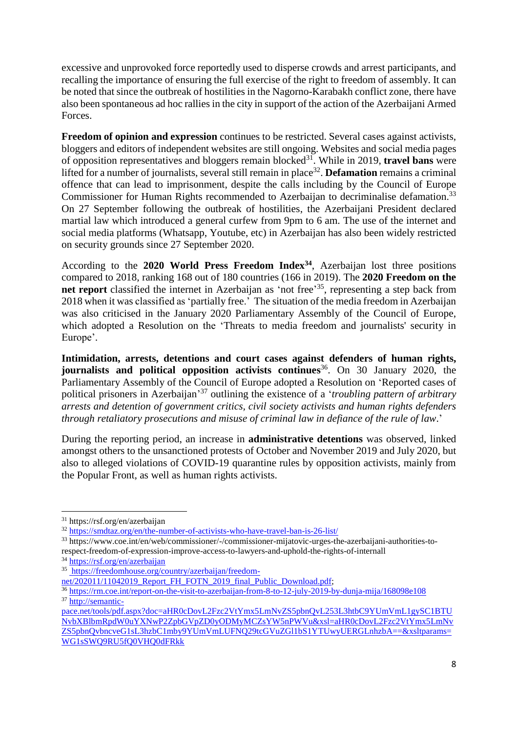excessive and unprovoked force reportedly used to disperse crowds and arrest participants, and recalling the importance of ensuring the full exercise of the right to freedom of assembly. It can be noted that since the outbreak of hostilities in the Nagorno-Karabakh conflict zone, there have also been spontaneous ad hoc rallies in the city in support of the action of the Azerbaijani Armed Forces.

**Freedom of opinion and expression** continues to be restricted. Several cases against activists, bloggers and editors of independent websites are still ongoing. Websites and social media pages of opposition representatives and bloggers remain blocked<sup>31</sup>. While in 2019, **travel bans** were lifted for a number of journalists, several still remain in place<sup>32</sup>. **Defamation** remains a criminal offence that can lead to imprisonment, despite the calls including by the Council of Europe Commissioner for Human Rights recommended to Azerbaijan to decriminalise defamation.<sup>33</sup> On 27 September following the outbreak of hostilities, the Azerbaijani President declared martial law which introduced a general curfew from 9pm to 6 am. The use of the internet and social media platforms (Whatsapp, Youtube, etc) in Azerbaijan has also been widely restricted on security grounds since 27 September 2020.

According to the **2020 World Press Freedom Index<sup>34</sup>**, Azerbaijan lost three positions compared to 2018, ranking 168 out of 180 countries (166 in 2019). The **2020 Freedom on the**  net report classified the internet in Azerbaijan as 'not free'<sup>35</sup>, representing a step back from 2018 when it was classified as 'partially free.' The situation of the media freedom in Azerbaijan was also criticised in the January 2020 Parliamentary Assembly of the Council of Europe, which adopted a Resolution on the 'Threats to media freedom and journalists' security in Europe'.

**Intimidation, arrests, detentions and court cases against defenders of human rights, journalists and political opposition activists continues** <sup>36</sup>. On 30 January 2020, the Parliamentary Assembly of the Council of Europe adopted a Resolution on 'Reported cases of political prisoners in Azerbaijan' <sup>37</sup> outlining the existence of a '*troubling pattern of arbitrary arrests and detention of government critics, civil society activists and human rights defenders through retaliatory prosecutions and misuse of criminal law in defiance of the rule of law*.'

During the reporting period, an increase in **administrative detentions** was observed, linked amongst others to the unsanctioned protests of October and November 2019 and July 2020, but also to alleged violations of COVID-19 quarantine rules by opposition activists, mainly from the Popular Front, as well as human rights activists.

**.** 

<sup>33</sup> https://www.coe.int/en/web/commissioner/-/commissioner-mijatovic-urges-the-azerbaijani-authorities-torespect-freedom-of-expression-improve-access-to-lawyers-and-uphold-the-rights-of-internall

<sup>31</sup> https://rsf.org/en/azerbaijan

<sup>32</sup> <https://smdtaz.org/en/the-number-of-activists-who-have-travel-ban-is-26-list/>

<sup>34</sup> <https://rsf.org/en/azerbaijan>

<sup>35</sup> [https://freedomhouse.org/country/azerbaijan/freedom-](https://freedomhouse.org/country/azerbaijan/freedom-net/202011/11042019_Report_FH_FOTN_2019_final_Public_Download.pdf)

[net/202011/11042019\\_Report\\_FH\\_FOTN\\_2019\\_final\\_Public\\_Download.pdf;](https://freedomhouse.org/country/azerbaijan/freedom-net/202011/11042019_Report_FH_FOTN_2019_final_Public_Download.pdf)

<sup>36</sup> <https://rm.coe.int/report-on-the-visit-to-azerbaijan-from-8-to-12-july-2019-by-dunja-mija/168098e108> <sup>37</sup> [http://semantic-](http://semantic-pace.net/tools/pdf.aspx?doc=aHR0cDovL2Fzc2VtYmx5LmNvZS5pbnQvL253L3htbC9YUmVmL1gySC1BTUNvbXBlbmRpdW0uYXNwP2ZpbGVpZD0yODMyMCZsYW5nPWVu&xsl=aHR0cDovL2Fzc2VtYmx5LmNvZS5pbnQvbncveG1sL3hzbC1mby9YUmVmLUFNQ29tcGVuZGl1bS1YTUwyUERGLnhzbA==&xsltparams=WG1sSWQ9RU5fQ0VHQ0dFRkk)

[pace.net/tools/pdf.aspx?doc=aHR0cDovL2Fzc2VtYmx5LmNvZS5pbnQvL253L3htbC9YUmVmL1gySC1BTU](http://semantic-pace.net/tools/pdf.aspx?doc=aHR0cDovL2Fzc2VtYmx5LmNvZS5pbnQvL253L3htbC9YUmVmL1gySC1BTUNvbXBlbmRpdW0uYXNwP2ZpbGVpZD0yODMyMCZsYW5nPWVu&xsl=aHR0cDovL2Fzc2VtYmx5LmNvZS5pbnQvbncveG1sL3hzbC1mby9YUmVmLUFNQ29tcGVuZGl1bS1YTUwyUERGLnhzbA==&xsltparams=WG1sSWQ9RU5fQ0VHQ0dFRkk) [NvbXBlbmRpdW0uYXNwP2ZpbGVpZD0yODMyMCZsYW5nPWVu&xsl=aHR0cDovL2Fzc2VtYmx5LmNv](http://semantic-pace.net/tools/pdf.aspx?doc=aHR0cDovL2Fzc2VtYmx5LmNvZS5pbnQvL253L3htbC9YUmVmL1gySC1BTUNvbXBlbmRpdW0uYXNwP2ZpbGVpZD0yODMyMCZsYW5nPWVu&xsl=aHR0cDovL2Fzc2VtYmx5LmNvZS5pbnQvbncveG1sL3hzbC1mby9YUmVmLUFNQ29tcGVuZGl1bS1YTUwyUERGLnhzbA==&xsltparams=WG1sSWQ9RU5fQ0VHQ0dFRkk) [ZS5pbnQvbncveG1sL3hzbC1mby9YUmVmLUFNQ29tcGVuZGl1bS1YTUwyUERGLnhzbA==&xsltparams=](http://semantic-pace.net/tools/pdf.aspx?doc=aHR0cDovL2Fzc2VtYmx5LmNvZS5pbnQvL253L3htbC9YUmVmL1gySC1BTUNvbXBlbmRpdW0uYXNwP2ZpbGVpZD0yODMyMCZsYW5nPWVu&xsl=aHR0cDovL2Fzc2VtYmx5LmNvZS5pbnQvbncveG1sL3hzbC1mby9YUmVmLUFNQ29tcGVuZGl1bS1YTUwyUERGLnhzbA==&xsltparams=WG1sSWQ9RU5fQ0VHQ0dFRkk) [WG1sSWQ9RU5fQ0VHQ0dFRkk](http://semantic-pace.net/tools/pdf.aspx?doc=aHR0cDovL2Fzc2VtYmx5LmNvZS5pbnQvL253L3htbC9YUmVmL1gySC1BTUNvbXBlbmRpdW0uYXNwP2ZpbGVpZD0yODMyMCZsYW5nPWVu&xsl=aHR0cDovL2Fzc2VtYmx5LmNvZS5pbnQvbncveG1sL3hzbC1mby9YUmVmLUFNQ29tcGVuZGl1bS1YTUwyUERGLnhzbA==&xsltparams=WG1sSWQ9RU5fQ0VHQ0dFRkk)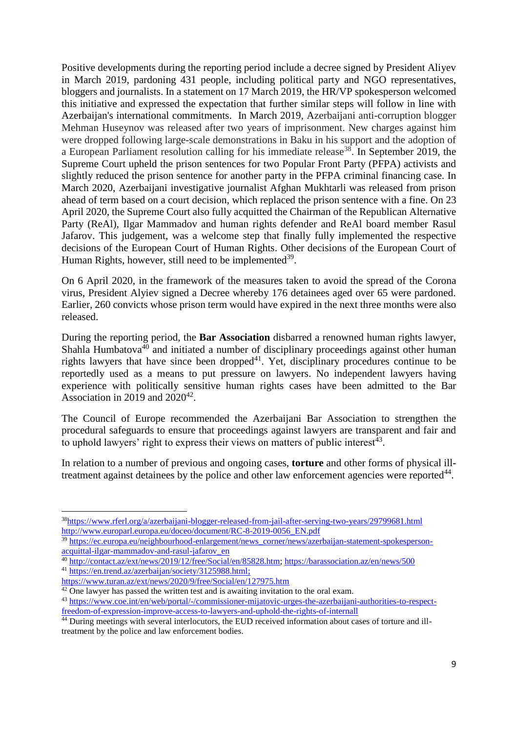Positive developments during the reporting period include a decree signed by President Aliyev in March 2019, pardoning 431 people, including political party and NGO representatives, bloggers and journalists. In a statement on 17 March 2019, the HR/VP spokesperson welcomed this initiative and expressed the expectation that further similar steps will follow in line with Azerbaijan's international commitments. In March 2019, Azerbaijani anti-corruption blogger Mehman Huseynov was released after two years of imprisonment. New charges against him were dropped following large-scale demonstrations in Baku in his support and the adoption of a European Parliament resolution calling for his immediate release<sup>38</sup>. In September 2019, the Supreme Court upheld the prison sentences for two Popular Front Party (PFPA) activists and slightly reduced the prison sentence for another party in the PFPA criminal financing case. In March 2020, Azerbaijani investigative journalist Afghan Mukhtarli was released from prison ahead of term based on a court decision, which replaced the prison sentence with a fine. On 23 April 2020, the Supreme Court also fully acquitted the Chairman of the Republican Alternative Party (ReAl), Ilgar Mammadov and human rights defender and ReAl board member Rasul Jafarov. This judgement, was a welcome step that finally fully implemented the respective decisions of the European Court of Human Rights. Other decisions of the European Court of Human Rights, however, still need to be implemented<sup>39</sup>.

On 6 April 2020, in the framework of the measures taken to avoid the spread of the Corona virus, President Alyiev signed a Decree whereby 176 detainees aged over 65 were pardoned. Earlier, 260 convicts whose prison term would have expired in the next three months were also released.

During the reporting period, the **Bar Association** disbarred a renowned human rights lawyer, Shahla Humbatova<sup>40</sup> and initiated a number of disciplinary proceedings against other human rights lawyers that have since been dropped<sup>41</sup>. Yet, disciplinary procedures continue to be reportedly used as a means to put pressure on lawyers. No independent lawyers having experience with politically sensitive human rights cases have been admitted to the Bar Association in 2019 and  $2020^{42}$ .

The Council of Europe recommended the Azerbaijani Bar Association to strengthen the procedural safeguards to ensure that proceedings against lawyers are transparent and fair and to uphold lawyers' right to express their views on matters of public interest<sup>43</sup>.

In relation to a number of previous and ongoing cases, **torture** and other forms of physical illtreatment against detainees by the police and other law enforcement agencies were reported $44$ .

**.** 

<sup>38</sup><https://www.rferl.org/a/azerbaijani-blogger-released-from-jail-after-serving-two-years/29799681.html> [http://www.europarl.europa.eu/doceo/document/RC-8-2019-0056\\_EN.pdf](http://www.europarl.europa.eu/doceo/document/RC-8-2019-0056_EN.pdf)

<sup>39</sup> [https://ec.europa.eu/neighbourhood-enlargement/news\\_corner/news/azerbaijan-statement-spokesperson](https://ec.europa.eu/neighbourhood-enlargement/news_corner/news/azerbaijan-statement-spokesperson-acquittal-ilgar-mammadov-and-rasul-jafarov_en)[acquittal-ilgar-mammadov-and-rasul-jafarov\\_en](https://ec.europa.eu/neighbourhood-enlargement/news_corner/news/azerbaijan-statement-spokesperson-acquittal-ilgar-mammadov-and-rasul-jafarov_en)

<sup>40</sup> [http://contact.az/ext/news/2019/12/free/Social/en/85828.htm;](http://contact.az/ext/news/2019/12/free/Social/en/85828.htm)<https://barassociation.az/en/news/500> <sup>41</sup> [https://en.trend.az/azerbaijan/society/3125988.html;](https://en.trend.az/azerbaijan/society/3125988.html)

https://www.turan.az/ext/news/2020/9/free/Social/en/127975.htm

 $42$  One lawyer has passed the written test and is awaiting invitation to the oral exam.

<sup>43</sup> [https://www.coe.int/en/web/portal/-/commissioner-mijatovic-urges-the-azerbaijani-authorities-to-respect](https://www.coe.int/en/web/portal/-/commissioner-mijatovic-urges-the-azerbaijani-authorities-to-respect-freedom-of-expression-improve-access-to-lawyers-and-uphold-the-rights-of-internall)[freedom-of-expression-improve-access-to-lawyers-and-uphold-the-rights-of-internall](https://www.coe.int/en/web/portal/-/commissioner-mijatovic-urges-the-azerbaijani-authorities-to-respect-freedom-of-expression-improve-access-to-lawyers-and-uphold-the-rights-of-internall)

<sup>44</sup> During meetings with several interlocutors, the EUD received information about cases of torture and illtreatment by the police and law enforcement bodies.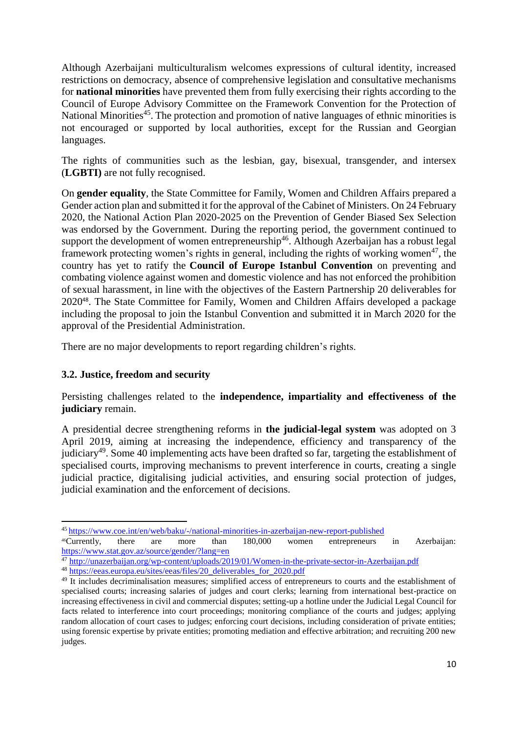Although Azerbaijani multiculturalism welcomes expressions of cultural identity, increased restrictions on democracy, absence of comprehensive legislation and consultative mechanisms for **national minorities** have prevented them from fully exercising their rights according to the Council of Europe Advisory Committee on the Framework Convention for the Protection of National Minorities<sup>45</sup>. The protection and promotion of native languages of ethnic minorities is not encouraged or supported by local authorities, except for the Russian and Georgian languages.

The rights of communities such as the lesbian, gay, bisexual, transgender, and intersex (**LGBTI)** are not fully recognised.

On **gender equality**, the State Committee for Family, Women and Children Affairs prepared a Gender action plan and submitted it for the approval of the Cabinet of Ministers. On 24 February 2020, the National Action Plan 2020-2025 on the Prevention of Gender Biased Sex Selection was endorsed by the Government. During the reporting period, the government continued to support the development of women entrepreneurship<sup>46</sup>. Although Azerbaijan has a robust legal framework protecting women's rights in general, including the rights of working women<sup>47</sup>, the country has yet to ratify the **Council of Europe Istanbul Convention** on preventing and combating violence against women and domestic violence and has not enforced the prohibition of sexual harassment, in line with the objectives of the Eastern Partnership 20 deliverables for 2020<sup>48</sup>. The State Committee for Family, Women and Children Affairs developed a package including the proposal to join the Istanbul Convention and submitted it in March 2020 for the approval of the Presidential Administration.

There are no major developments to report regarding children's rights.

## **3.2. Justice, freedom and security**

Persisting challenges related to the **independence, impartiality and effectiveness of the judiciary** remain.

A presidential decree strengthening reforms in **the judicial-legal system** was adopted on 3 April 2019, aiming at increasing the independence, efficiency and transparency of the judiciary<sup>49</sup>. Some 40 implementing acts have been drafted so far, targeting the establishment of specialised courts, improving mechanisms to prevent interference in courts, creating a single judicial practice, digitalising judicial activities, and ensuring social protection of judges, judicial examination and the enforcement of decisions.

 $\overline{a}$ <sup>45</sup> <https://www.coe.int/en/web/baku/-/national-minorities-in-azerbaijan-new-report-published>

<sup>46</sup>Currently, there are more than 180,000 women entrepreneurs in Azerbaijan: <https://www.stat.gov.az/source/gender/?lang=en>

<sup>&</sup>lt;sup>47</sup> <http://unazerbaijan.org/wp-content/uploads/2019/01/Women-in-the-private-sector-in-Azerbaijan.pdf> <sup>48</sup> [https://eeas.europa.eu/sites/eeas/files/20\\_deliverables\\_for\\_2020.pdf](https://eeas.europa.eu/sites/eeas/files/20_deliverables_for_2020.pdf)

<sup>&</sup>lt;sup>49</sup> It includes decriminalisation measures; simplified access of entrepreneurs to courts and the establishment of specialised courts; increasing salaries of judges and court clerks; learning from international best-practice on increasing effectiveness in civil and commercial disputes; setting-up a hotline under the Judicial Legal Council for facts related to interference into court proceedings; monitoring compliance of the courts and judges; applying random allocation of court cases to judges; enforcing court decisions, including consideration of private entities; using forensic expertise by private entities; promoting mediation and effective arbitration; and recruiting 200 new judges.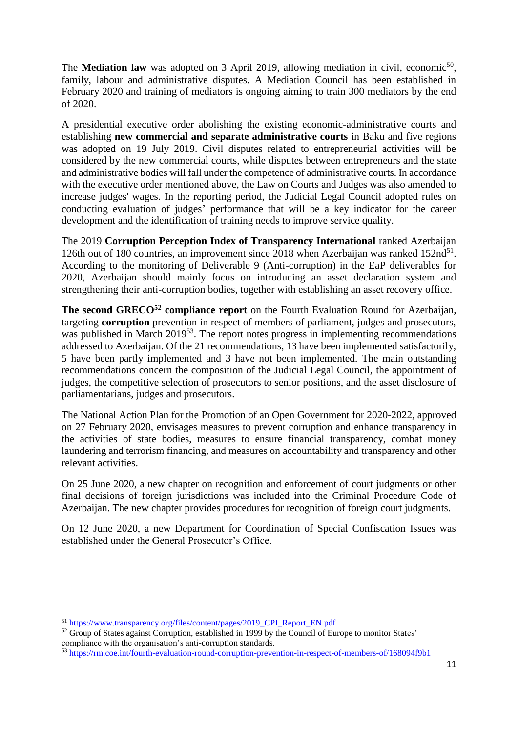The **Mediation law** was adopted on 3 April 2019, allowing mediation in civil, economic<sup>50</sup>, family, labour and administrative disputes. A Mediation Council has been established in February 2020 and training of mediators is ongoing aiming to train 300 mediators by the end of 2020.

A presidential executive order abolishing the existing economic-administrative courts and establishing **new commercial and separate administrative courts** in Baku and five regions was adopted on 19 July 2019. Civil disputes related to entrepreneurial activities will be considered by the new commercial courts, while disputes between entrepreneurs and the state and administrative bodies will fall under the competence of administrative courts. In accordance with the executive order mentioned above, the Law on Courts and Judges was also amended to increase judges' wages. In the reporting period, the Judicial Legal Council adopted rules on conducting evaluation of judges' performance that will be a key indicator for the career development and the identification of training needs to improve service quality.

The 2019 **Corruption Perception Index of Transparency International** ranked Azerbaijan 126th out of 180 countries, an improvement since 2018 when Azerbaijan was ranked 152nd<sup>51</sup>. According to the monitoring of Deliverable 9 (Anti-corruption) in the EaP deliverables for 2020, Azerbaijan should mainly focus on introducing an asset declaration system and strengthening their anti-corruption bodies, together with establishing an asset recovery office.

**The second GRECO<sup>52</sup> compliance report** on the Fourth Evaluation Round for Azerbaijan, targeting **corruption** prevention in respect of members of parliament, judges and prosecutors, was published in March 2019<sup>53</sup>. The report notes progress in implementing recommendations addressed to Azerbaijan. Of the 21 recommendations, 13 have been implemented satisfactorily, 5 have been partly implemented and 3 have not been implemented. The main outstanding recommendations concern the composition of the Judicial Legal Council, the appointment of judges, the competitive selection of prosecutors to senior positions, and the asset disclosure of parliamentarians, judges and prosecutors.

The National Action Plan for the Promotion of an Open Government for 2020-2022, approved on 27 February 2020, envisages measures to prevent corruption and enhance transparency in the activities of state bodies, measures to ensure financial transparency, combat money laundering and terrorism financing, and measures on accountability and transparency and other relevant activities.

On 25 June 2020, a new chapter on recognition and enforcement of court judgments or other final decisions of foreign jurisdictions was included into the Criminal Procedure Code of Azerbaijan. The new chapter provides procedures for recognition of foreign court judgments.

On 12 June 2020, a new Department for Coordination of Special Confiscation Issues was established under the General Prosecutor's Office.

1

<sup>51</sup> [https://www.transparency.org/files/content/pages/2019\\_CPI\\_Report\\_EN.pdf](https://www.transparency.org/files/content/pages/2019_CPI_Report_EN.pdf)

<sup>&</sup>lt;sup>52</sup> Group of States against Corruption, established in 1999 by the Council of Europe to monitor States' compliance with the organisation's anti-corruption standards.

<sup>53</sup> <https://rm.coe.int/fourth-evaluation-round-corruption-prevention-in-respect-of-members-of/168094f9b1>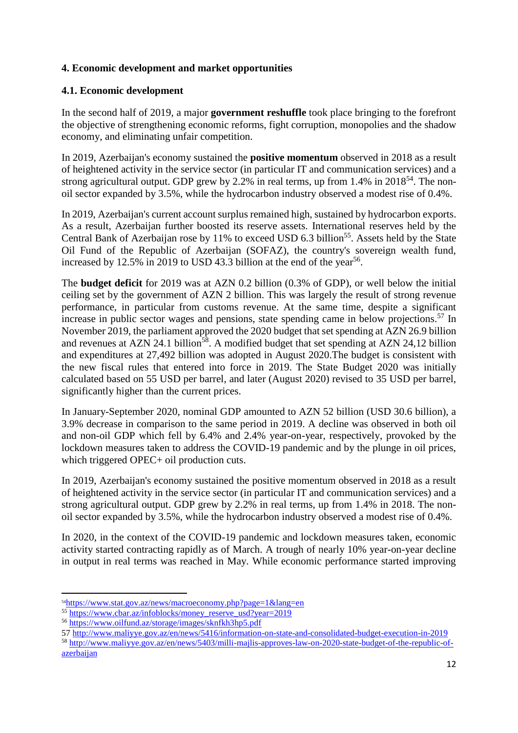# **4. Economic development and market opportunities**

## **4.1. Economic development**

In the second half of 2019, a major **government reshuffle** took place bringing to the forefront the objective of strengthening economic reforms, fight corruption, monopolies and the shadow economy, and eliminating unfair competition.

In 2019, Azerbaijan's economy sustained the **positive momentum** observed in 2018 as a result of heightened activity in the service sector (in particular IT and communication services) and a strong agricultural output. GDP grew by 2.2% in real terms, up from 1.4% in 2018<sup>54</sup>. The nonoil sector expanded by 3.5%, while the hydrocarbon industry observed a modest rise of 0.4%.

In 2019, Azerbaijan's current account surplus remained high, sustained by hydrocarbon exports. As a result, Azerbaijan further boosted its reserve assets. International reserves held by the Central Bank of Azerbaijan rose by 11% to exceed USD  $6.3$  billion<sup>55</sup>. Assets held by the State Oil Fund of the Republic of Azerbaijan (SOFAZ), the country's sovereign wealth fund, increased by 12.5% in 2019 to USD 43.3 billion at the end of the year<sup>56</sup>.

The **budget deficit** for 2019 was at AZN 0.2 billion (0.3% of GDP), or well below the initial ceiling set by the government of AZN 2 billion. This was largely the result of strong revenue performance, in particular from customs revenue. At the same time, despite a significant increase in public sector wages and pensions, state spending came in below projections. <sup>57</sup> In November 2019, the parliament approved the 2020 budget that set spending at AZN 26.9 billion and revenues at AZN 24.1 billion<sup>58</sup>. A modified budget that set spending at AZN 24,12 billion and expenditures at 27,492 billion was adopted in August 2020.The budget is consistent with the new fiscal rules that entered into force in 2019. The State Budget 2020 was initially calculated based on 55 USD per barrel, and later (August 2020) revised to 35 USD per barrel, significantly higher than the current prices.

In January-September 2020, nominal GDP amounted to AZN 52 billion (USD 30.6 billion), a 3.9% decrease in comparison to the same period in 2019. A decline was observed in both oil and non-oil GDP which fell by 6.4% and 2.4% year-on-year, respectively, provoked by the lockdown measures taken to address the COVID-19 pandemic and by the plunge in oil prices, which triggered OPEC+ oil production cuts.

In 2019, Azerbaijan's economy sustained the positive momentum observed in 2018 as a result of heightened activity in the service sector (in particular IT and communication services) and a strong agricultural output. GDP grew by 2.2% in real terms, up from 1.4% in 2018. The nonoil sector expanded by 3.5%, while the hydrocarbon industry observed a modest rise of 0.4%.

In 2020, in the context of the COVID-19 pandemic and lockdown measures taken, economic activity started contracting rapidly as of March. A trough of nearly 10% year-on-year decline in output in real terms was reached in May. While economic performance started improving

 $\overline{a}$ 

<sup>54</sup><https://www.stat.gov.az/news/macroeconomy.php?page=1&lang=en>

<sup>55</sup> [https://www.cbar.az/infoblocks/money\\_reserve\\_usd?year=2019](https://www.cbar.az/infoblocks/money_reserve_usd?year=2019)

<sup>56</sup> <https://www.oilfund.az/storage/images/sknfkh3hp5.pdf>

<sup>57</sup> <http://www.maliyye.gov.az/en/news/5416/information-on-state-and-consolidated-budget-execution-in-2019> <sup>58</sup> [http://www.maliyye.gov.az/en/news/5403/milli-majlis-approves-law-on-2020-state-budget-of-the-republic-of](http://www.maliyye.gov.az/en/news/5403/milli-majlis-approves-law-on-2020-state-budget-of-the-republic-of-azerbaijan)[azerbaijan](http://www.maliyye.gov.az/en/news/5403/milli-majlis-approves-law-on-2020-state-budget-of-the-republic-of-azerbaijan)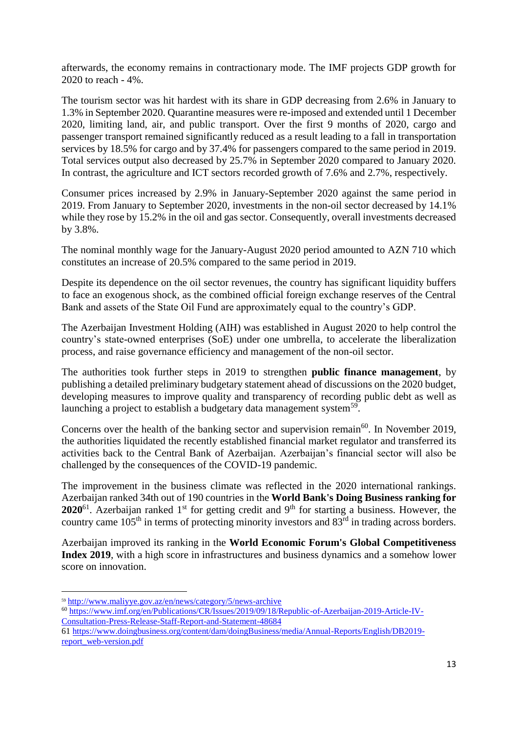afterwards, the economy remains in contractionary mode. The IMF projects GDP growth for 2020 to reach - 4%.

The tourism sector was hit hardest with its share in GDP decreasing from 2.6% in January to 1.3% in September 2020. Quarantine measures were re-imposed and extended until 1 December 2020, limiting land, air, and public transport. Over the first 9 months of 2020, cargo and passenger transport remained significantly reduced as a result leading to a fall in transportation services by 18.5% for cargo and by 37.4% for passengers compared to the same period in 2019. Total services output also decreased by 25.7% in September 2020 compared to January 2020. In contrast, the agriculture and ICT sectors recorded growth of 7.6% and 2.7%, respectively.

Consumer prices increased by 2.9% in January-September 2020 against the same period in 2019. From January to September 2020, investments in the non-oil sector decreased by 14.1% while they rose by 15.2% in the oil and gas sector. Consequently, overall investments decreased by 3.8%.

The nominal monthly wage for the January-August 2020 period amounted to AZN 710 which constitutes an increase of 20.5% compared to the same period in 2019.

Despite its dependence on the oil sector revenues, the country has significant liquidity buffers to face an exogenous shock, as the combined official foreign exchange reserves of the Central Bank and assets of the State Oil Fund are approximately equal to the country's GDP.

The Azerbaijan Investment Holding (AIH) was established in August 2020 to help control the country's state-owned enterprises (SoE) under one umbrella, to accelerate the liberalization process, and raise governance efficiency and management of the non-oil sector.

The authorities took further steps in 2019 to strengthen **public finance management**, by publishing a detailed preliminary budgetary statement ahead of discussions on the 2020 budget, developing measures to improve quality and transparency of recording public debt as well as launching a project to establish a budgetary data management system<sup>59</sup>.

Concerns over the health of the banking sector and supervision remain<sup>60</sup>. In November 2019, the authorities liquidated the recently established financial market regulator and transferred its activities back to the Central Bank of Azerbaijan. Azerbaijan's financial sector will also be challenged by the consequences of the COVID-19 pandemic.

The improvement in the business climate was reflected in the 2020 international rankings. Azerbaijan ranked 34th out of 190 countries in the **World Bank's Doing Business ranking for 2020**<sup>61</sup>. Azerbaijan ranked 1<sup>st</sup> for getting credit and 9<sup>th</sup> for starting a business. However, the country came 105<sup>th</sup> in terms of protecting minority investors and 83<sup>rd</sup> in trading across borders.

Azerbaijan improved its ranking in the **World Economic Forum's Global Competitiveness Index 2019**, with a high score in infrastructures and business dynamics and a somehow lower score on innovation.

1

- <sup>60</sup> [https://www.imf.org/en/Publications/CR/Issues/2019/09/18/Republic-of-Azerbaijan-2019-Article-IV-](https://www.imf.org/en/Publications/CR/Issues/2019/09/18/Republic-of-Azerbaijan-2019-Article-IV-Consultation-Press-Release-Staff-Report-and-Statement-48684)[Consultation-Press-Release-Staff-Report-and-Statement-48684](https://www.imf.org/en/Publications/CR/Issues/2019/09/18/Republic-of-Azerbaijan-2019-Article-IV-Consultation-Press-Release-Staff-Report-and-Statement-48684)
- 61 [https://www.doingbusiness.org/content/dam/doingBusiness/media/Annual-Reports/English/DB2019](https://www.doingbusiness.org/content/dam/doingBusiness/media/Annual-Reports/English/DB2019-report_web-version.pdf) [report\\_web-version.pdf](https://www.doingbusiness.org/content/dam/doingBusiness/media/Annual-Reports/English/DB2019-report_web-version.pdf)

<sup>59</sup> <http://www.maliyye.gov.az/en/news/category/5/news-archive>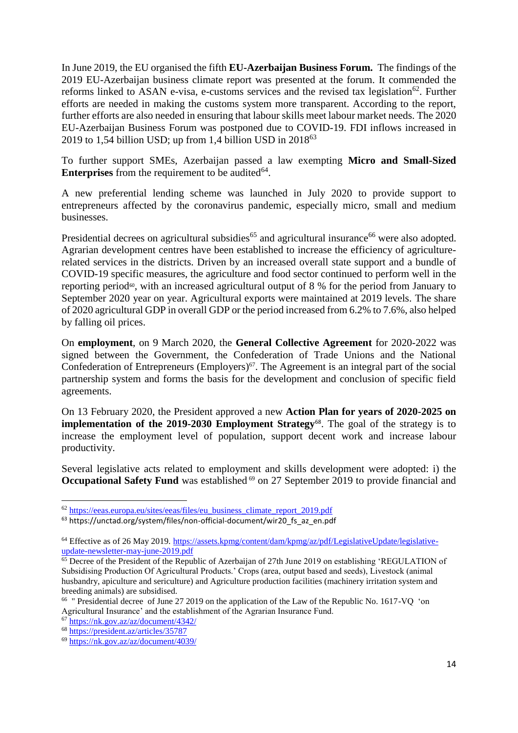In June 2019, the EU organised the fifth **EU-Azerbaijan Business Forum.** The findings of the 2019 EU-Azerbaijan business climate report was presented at the forum. It commended the reforms linked to ASAN e-visa, e-customs services and the revised tax legislation<sup>62</sup>. Further efforts are needed in making the customs system more transparent. According to the report, further efforts are also needed in ensuring that labour skills meet labour market needs. The 2020 EU-Azerbaijan Business Forum was postponed due to COVID-19. FDI inflows increased in 2019 to 1,54 billion USD; up from 1,4 billion USD in  $2018^{63}$ 

To further support SMEs, Azerbaijan passed a law exempting **Micro and Small-Sized Enterprises** from the requirement to be audited $64$ .

A new preferential lending scheme was launched in July 2020 to provide support to entrepreneurs affected by the coronavirus pandemic, especially micro, small and medium businesses.

Presidential decrees on agricultural subsidies<sup>65</sup> and agricultural insurance<sup>66</sup> were also adopted. Agrarian development centres have been established to increase the efficiency of agriculturerelated services in the districts. Driven by an increased overall state support and a bundle of COVID-19 specific measures, the agriculture and food sector continued to perform well in the reporting period<sup>60</sup>, with an increased agricultural output of 8 % for the period from January to September 2020 year on year. Agricultural exports were maintained at 2019 levels. The share of 2020 agricultural GDP in overall GDP or the period increased from 6.2% to 7.6%, also helped by falling oil prices.

On **employment**, on 9 March 2020, the **General Collective Agreement** for 2020-2022 was signed between the Government, the Confederation of Trade Unions and the National Confederation of Entrepreneurs (Employers)<sup> $67$ </sup>. The Agreement is an integral part of the social partnership system and forms the basis for the development and conclusion of specific field agreements.

On 13 February 2020, the President approved a new **Action Plan for years of 2020-2025 on implementation of the 2019-2030 Employment Strategy**<sup>68</sup> . The goal of the strategy is to increase the employment level of population, support decent work and increase labour productivity.

Several legislative acts related to employment and skills development were adopted: i) the **Occupational Safety Fund** was established <sup>69</sup> on 27 September 2019 to provide financial and

 $\overline{a}$ 

<sup>&</sup>lt;sup>62</sup> [https://eeas.europa.eu/sites/eeas/files/eu\\_business\\_climate\\_report\\_2019.pdf](https://eeas.europa.eu/sites/eeas/files/eu_business_climate_report_2019.pdf)

<sup>63</sup> https://unctad.org/system/files/non-official-document/wir20\_fs\_az\_en.pdf

<sup>64</sup> Effective as of 26 May 2019. [https://assets.kpmg/content/dam/kpmg/az/pdf/LegislativeUpdate/legislative](https://assets.kpmg/content/dam/kpmg/az/pdf/LegislativeUpdate/legislative-update-newsletter-may-june-2019.pdf)[update-newsletter-may-june-2019.pdf](https://assets.kpmg/content/dam/kpmg/az/pdf/LegislativeUpdate/legislative-update-newsletter-may-june-2019.pdf)

 $\overline{65}$  Decree of the President of the Republic of Azerbaijan of 27th June 2019 on establishing 'REGULATION of Subsidising Production Of Agricultural Products.' Crops (area, output based and seeds), Livestock (animal husbandry, apiculture and sericulture) and Agriculture production facilities (machinery irritation system and breeding animals) are subsidised.

<sup>&</sup>lt;sup>66</sup> " Presidential decree of June 27 2019 on the application of the Law of the Republic No. 1617-VQ 'on Agricultural Insurance' and the establishment of the Agrarian Insurance Fund.

<sup>67</sup> <https://nk.gov.az/az/document/4342/>

<sup>68</sup> <https://president.az/articles/35787>

<sup>69</sup> <https://nk.gov.az/az/document/4039/>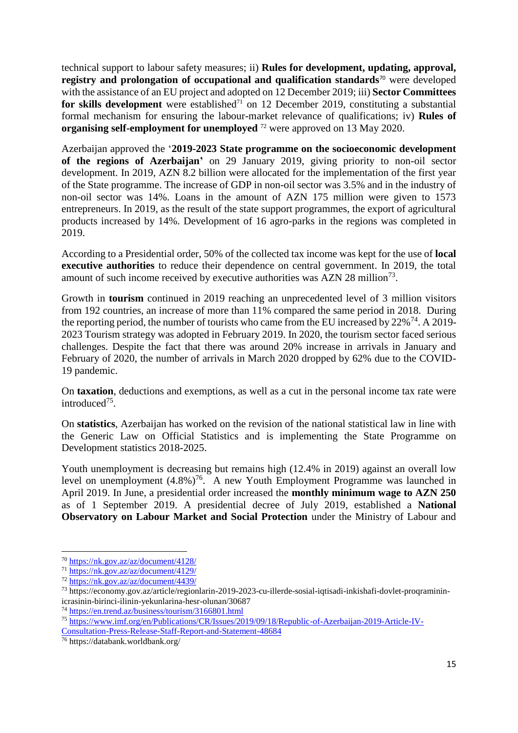technical support to labour safety measures; ii) **Rules for development, updating, approval, registry and prolongation of occupational and qualification standards<sup>70</sup> were developed** with the assistance of an EU project and adopted on 12 December 2019; iii) **Sector Committees for skills development** were established<sup>71</sup> on 12 December 2019, constituting a substantial formal mechanism for ensuring the labour-market relevance of qualifications; iv) **Rules of organising self-employment for unemployed** <sup>72</sup> were approved on 13 May 2020.

Azerbaijan approved the '**2019-2023 State programme on the socioeconomic development of the regions of Azerbaijan'** on 29 January 2019, giving priority to non-oil sector development. In 2019, AZN 8.2 billion were allocated for the implementation of the first year of the State programme. The increase of GDP in non-oil sector was 3.5% and in the industry of non-oil sector was 14%. Loans in the amount of AZN 175 million were given to 1573 entrepreneurs. In 2019, as the result of the state support programmes, the export of agricultural products increased by 14%. Development of 16 agro-parks in the regions was completed in 2019.

According to a Presidential order, 50% of the collected tax income was kept for the use of **local executive authorities** to reduce their dependence on central government. In 2019, the total amount of such income received by executive authorities was AZN 28 million<sup>73</sup>.

Growth in **tourism** continued in 2019 reaching an unprecedented level of 3 million visitors from 192 countries, an increase of more than 11% compared the same period in 2018. During the reporting period, the number of tourists who came from the EU increased by  $22\%^{74}$ . A 2019-2023 Tourism strategy was adopted in February 2019. In 2020, the tourism sector faced serious challenges. Despite the fact that there was around 20% increase in arrivals in January and February of 2020, the number of arrivals in March 2020 dropped by 62% due to the COVID-19 pandemic.

On **taxation**, deductions and exemptions, as well as a cut in the personal income tax rate were introduced<sup>75</sup>.

On **statistics**, Azerbaijan has worked on the revision of the national statistical law in line with the Generic Law on Official Statistics and is implementing the State Programme on Development statistics 2018-2025.

Youth unemployment is decreasing but remains high (12.4% in 2019) against an overall low level on unemployment  $(4.8\%)^{76}$ . A new Youth Employment Programme was launched in April 2019. In June, a presidential order increased the **monthly minimum wage to AZN 250** as of 1 September 2019. A presidential decree of July 2019, established a **National Observatory on Labour Market and Social Protection** under the Ministry of Labour and

1

<sup>70</sup> <https://nk.gov.az/az/document/4128/>

<sup>71</sup> <https://nk.gov.az/az/document/4129/>

<sup>72</sup> <https://nk.gov.az/az/document/4439/>

<sup>73</sup> https://economy.gov.az/article/regionlarin-2019-2023-cu-illerde-sosial-iqtisadi-inkishafi-dovlet-proqramininicrasinin-birinci-ilinin-yekunlarina-hesr-olunan/30687

<sup>74</sup> <https://en.trend.az/business/tourism/3166801.html>

<sup>75</sup> [https://www.imf.org/en/Publications/CR/Issues/2019/09/18/Republic-of-Azerbaijan-2019-Article-IV-](https://www.imf.org/en/Publications/CR/Issues/2019/09/18/Republic-of-Azerbaijan-2019-Article-IV-Consultation-Press-Release-Staff-Report-and-Statement-48684)

[Consultation-Press-Release-Staff-Report-and-Statement-48684](https://www.imf.org/en/Publications/CR/Issues/2019/09/18/Republic-of-Azerbaijan-2019-Article-IV-Consultation-Press-Release-Staff-Report-and-Statement-48684)

<sup>76</sup> https://databank.worldbank.org/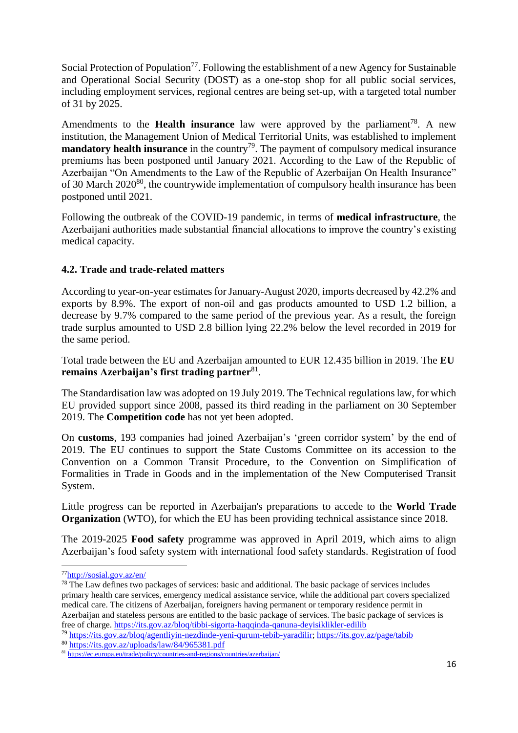Social Protection of Population<sup>77</sup>. Following the establishment of a new Agency for Sustainable and Operational Social Security (DOST) as a one-stop shop for all public social services, including employment services, regional centres are being set-up, with a targeted total number of 31 by 2025.

Amendments to the **Health insurance** law were approved by the parliament<sup>78</sup>. A new institution, the Management Union of Medical Territorial Units, was established to implement **mandatory health insurance** in the country<sup>79</sup>. The payment of compulsory medical insurance premiums has been postponed until January 2021. According to the Law of the Republic of Azerbaijan "On Amendments to the Law of the Republic of Azerbaijan On Health Insurance" of 30 March 2020<sup>80</sup>, the countrywide implementation of compulsory health insurance has been postponed until 2021.

Following the outbreak of the COVID-19 pandemic, in terms of **medical infrastructure**, the Azerbaijani authorities made substantial financial allocations to improve the country's existing medical capacity.

# **4.2. Trade and trade-related matters**

According to year-on-year estimates for January-August 2020, imports decreased by 42.2% and exports by 8.9%. The export of non-oil and gas products amounted to USD 1.2 billion, a decrease by 9.7% compared to the same period of the previous year. As a result, the foreign trade surplus amounted to USD 2.8 billion lying 22.2% below the level recorded in 2019 for the same period.

Total trade between the EU and Azerbaijan amounted to EUR 12.435 billion in 2019. The **EU**  remains Azerbaijan's first trading partner<sup>81</sup>.

The Standardisation law was adopted on 19 July 2019. The Technical regulations law, for which EU provided support since 2008, passed its third reading in the parliament on 30 September 2019. The **Competition code** has not yet been adopted.

On **customs**, 193 companies had joined Azerbaijan's 'green corridor system' by the end of 2019. The EU continues to support the State Customs Committee on its accession to the Convention on a Common Transit Procedure, to the Convention on Simplification of Formalities in Trade in Goods and in the implementation of the New Computerised Transit System.

Little progress can be reported in Azerbaijan's preparations to accede to the **World Trade Organization** (WTO), for which the EU has been providing technical assistance since 2018.

The 2019-2025 **Food safety** programme was approved in April 2019, which aims to align Azerbaijan's food safety system with international food safety standards. Registration of food

<sup>79</sup> [https://its.gov.az/bloq/agentliyin-nezdinde-yeni-qurum-tebib-yaradilir;](https://its.gov.az/bloq/agentliyin-nezdinde-yeni-qurum-tebib-yaradilir)<https://its.gov.az/page/tabib>

**<sup>.</sup>** <sup>77</sup><http://sosial.gov.az/en/>

<sup>&</sup>lt;sup>78</sup> The Law defines two packages of services: basic and additional. The basic package of services includes primary health care services, emergency medical assistance service, while the additional part covers specialized medical care. The citizens of Azerbaijan, foreigners having permanent or temporary residence permit in Azerbaijan and stateless persons are entitled to the basic package of services. The basic package of services is free of charge.<https://its.gov.az/bloq/tibbi-sigorta-haqqinda-qanuna-deyisiklikler-edilib>

<sup>80</sup> <https://its.gov.az/uploads/law/84/965381.pdf>

<sup>81</sup> <https://ec.europa.eu/trade/policy/countries-and-regions/countries/azerbaijan/>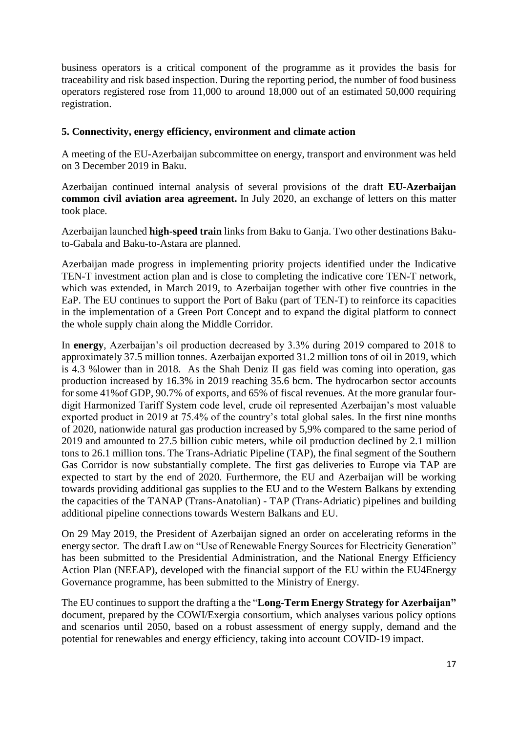business operators is a critical component of the programme as it provides the basis for traceability and risk based inspection. During the reporting period, the number of food business operators registered rose from 11,000 to around 18,000 out of an estimated 50,000 requiring registration.

### **5. Connectivity, energy efficiency, environment and climate action**

A meeting of the EU-Azerbaijan subcommittee on energy, transport and environment was held on 3 December 2019 in Baku.

Azerbaijan continued internal analysis of several provisions of the draft **EU-Azerbaijan common civil aviation area agreement.** In July 2020, an exchange of letters on this matter took place.

Azerbaijan launched **high-speed train** links from Baku to Ganja. Two other destinations Bakuto-Gabala and Baku-to-Astara are planned.

Azerbaijan made progress in implementing priority projects identified under the Indicative TEN-T investment action plan and is close to completing the indicative core TEN-T network, which was extended, in March 2019, to Azerbaijan together with other five countries in the EaP. The EU continues to support the Port of Baku (part of TEN-T) to reinforce its capacities in the implementation of a Green Port Concept and to expand the digital platform to connect the whole supply chain along the Middle Corridor.

In **energy**, Azerbaijan's oil production decreased by 3.3% during 2019 compared to 2018 to approximately 37.5 million tonnes. Azerbaijan exported 31.2 million tons of oil in 2019, which is 4.3 %lower than in 2018. As the Shah Deniz II gas field was coming into operation, gas production increased by 16.3% in 2019 reaching 35.6 bcm. The hydrocarbon sector accounts for some 41%of GDP, 90.7% of exports, and 65% of fiscal revenues. At the more granular fourdigit Harmonized Tariff System code level, crude oil represented Azerbaijan's most valuable exported product in 2019 at 75.4% of the country's total global sales. In the first nine months of 2020, nationwide natural gas production increased by 5,9% compared to the same period of 2019 and amounted to 27.5 billion cubic meters, while oil production declined by 2.1 million tons to 26.1 million tons. The Trans-Adriatic Pipeline (TAP), the final segment of the Southern Gas Corridor is now substantially complete. The first gas deliveries to Europe via TAP are expected to start by the end of 2020. Furthermore, the EU and Azerbaijan will be working towards providing additional gas supplies to the EU and to the Western Balkans by extending the capacities of the TANAP (Trans-Anatolian) - TAP (Trans-Adriatic) pipelines and building additional pipeline connections towards Western Balkans and EU.

On 29 May 2019, the President of Azerbaijan signed an order on accelerating reforms in the energy sector. The draft Law on "Use of Renewable Energy Sources for Electricity Generation" has been submitted to the Presidential Administration, and the National Energy Efficiency Action Plan (NEEAP), developed with the financial support of the EU within the EU4Energy Governance programme, has been submitted to the Ministry of Energy.

The EU continues to support the drafting a the "**Long-Term Energy Strategy for Azerbaijan"** document, prepared by the COWI/Exergia consortium, which analyses various policy options and scenarios until 2050, based on a robust assessment of energy supply, demand and the potential for renewables and energy efficiency, taking into account COVID-19 impact.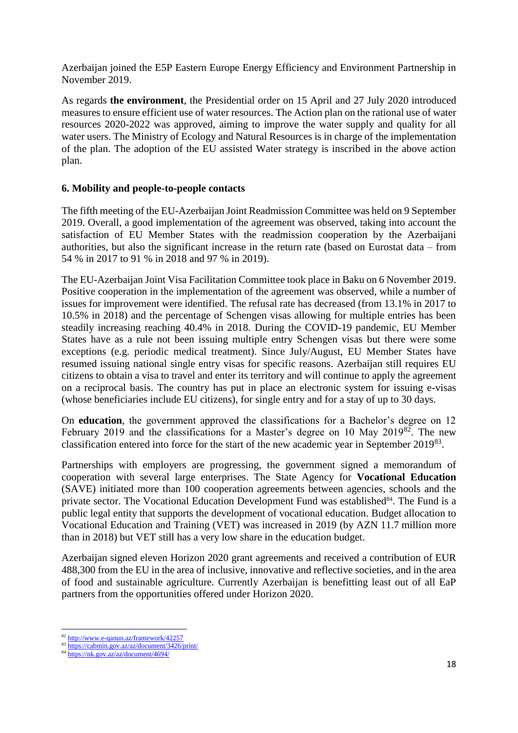Azerbaijan joined the E5P Eastern Europe Energy Efficiency and Environment Partnership in November 2019.

As regards **the environment**, the Presidential order on 15 April and 27 July 2020 introduced measures to ensure efficient use of water resources. The Action plan on the rational use of water resources 2020-2022 was approved, aiming to improve the water supply and quality for all water users. The Ministry of Ecology and Natural Resources is in charge of the implementation of the plan. The adoption of the EU assisted Water strategy is inscribed in the above action plan.

### **6. Mobility and people-to-people contacts**

The fifth meeting of the EU-Azerbaijan Joint Readmission Committee was held on 9 September 2019. Overall, a good implementation of the agreement was observed, taking into account the satisfaction of EU Member States with the readmission cooperation by the Azerbaijani authorities, but also the significant increase in the return rate (based on Eurostat data – from 54 % in 2017 to 91 % in 2018 and 97 % in 2019).

The EU-Azerbaijan Joint Visa Facilitation Committee took place in Baku on 6 November 2019. Positive cooperation in the implementation of the agreement was observed, while a number of issues for improvement were identified. The refusal rate has decreased (from 13.1% in 2017 to 10.5% in 2018) and the percentage of Schengen visas allowing for multiple entries has been steadily increasing reaching 40.4% in 2018. During the COVID-19 pandemic, EU Member States have as a rule not been issuing multiple entry Schengen visas but there were some exceptions (e.g. periodic medical treatment). Since July/August, EU Member States have resumed issuing national single entry visas for specific reasons. Azerbaijan still requires EU citizens to obtain a visa to travel and enter its territory and will continue to apply the agreement on a reciprocal basis. The country has put in place an electronic system for issuing e-visas (whose beneficiaries include EU citizens), for single entry and for a stay of up to 30 days.

On **education**, the government approved the classifications for a Bachelor's degree on 12 February 2019 and the classifications for a Master's degree on 10 May 2019<sup>82</sup>. The new classification entered into force for the start of the new academic year in September 2019<sup>83</sup>.

Partnerships with employers are progressing, the government signed a memorandum of cooperation with several large enterprises. The State Agency for **Vocational Education** (SAVE) initiated more than 100 cooperation agreements between agencies, schools and the private sector. The Vocational Education Development Fund was established<sup>84</sup>. The Fund is a public legal entity that supports the development of vocational education. Budget allocation to Vocational Education and Training (VET) was increased in 2019 (by AZN 11.7 million more than in 2018) but VET still has a very low share in the education budget.

Azerbaijan signed eleven Horizon 2020 grant agreements and received a contribution of EUR 488,300 from the EU in the area of inclusive, innovative and reflective societies, and in the area of food and sustainable agriculture. Currently Azerbaijan is benefitting least out of all EaP partners from the opportunities offered under Horizon 2020.

**.** 

<sup>82</sup> <http://www.e-qanun.az/framework/42257>

<sup>83</sup> <https://cabmin.gov.az/az/document/3426/print/>

<sup>84</sup> <https://nk.gov.az/az/document/4694/>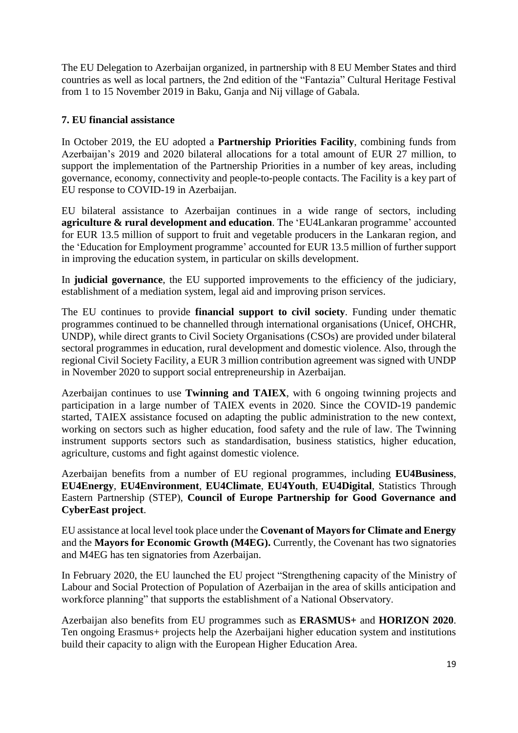The EU Delegation to Azerbaijan organized, in partnership with 8 EU Member States and third countries as well as local partners, the 2nd edition of the "Fantazia" Cultural Heritage Festival from 1 to 15 November 2019 in Baku, Ganja and Nij village of Gabala.

## **7. EU financial assistance**

In October 2019, the EU adopted a **Partnership Priorities Facility**, combining funds from Azerbaijan's 2019 and 2020 bilateral allocations for a total amount of EUR 27 million, to support the implementation of the Partnership Priorities in a number of key areas, including governance, economy, connectivity and people-to-people contacts. The Facility is a key part of EU response to COVID-19 in Azerbaijan.

EU bilateral assistance to Azerbaijan continues in a wide range of sectors, including **agriculture & rural development and education**. The 'EU4Lankaran programme' accounted for EUR 13.5 million of support to fruit and vegetable producers in the Lankaran region, and the 'Education for Employment programme' accounted for EUR 13.5 million of further support in improving the education system, in particular on skills development.

In **judicial governance**, the EU supported improvements to the efficiency of the judiciary, establishment of a mediation system, legal aid and improving prison services.

The EU continues to provide **financial support to civil society**. Funding under thematic programmes continued to be channelled through international organisations (Unicef, OHCHR, UNDP), while direct grants to Civil Society Organisations (CSOs) are provided under bilateral sectoral programmes in education, rural development and domestic violence. Also, through the regional Civil Society Facility, a EUR 3 million contribution agreement was signed with UNDP in November 2020 to support social entrepreneurship in Azerbaijan.

Azerbaijan continues to use **Twinning and TAIEX**, with 6 ongoing twinning projects and participation in a large number of TAIEX events in 2020. Since the COVID-19 pandemic started, TAIEX assistance focused on adapting the public administration to the new context, working on sectors such as higher education, food safety and the rule of law. The Twinning instrument supports sectors such as standardisation, business statistics, higher education, agriculture, customs and fight against domestic violence.

Azerbaijan benefits from a number of EU regional programmes, including **EU4Business**, **EU4Energy**, **EU4Environment**, **EU4Climate**, **EU4Youth**, **EU4Digital**, Statistics Through Eastern Partnership (STEP), **Council of Europe Partnership for Good Governance and CyberEast project**.

EU assistance at local level took place under the **Covenant of Mayors for Climate and Energy**  and the **Mayors for Economic Growth (M4EG).** Currently, the Covenant has two signatories and M4EG has ten signatories from Azerbaijan.

In February 2020, the EU launched the EU project "Strengthening capacity of the Ministry of Labour and Social Protection of Population of Azerbaijan in the area of skills anticipation and workforce planning" that supports the establishment of a National Observatory.

Azerbaijan also benefits from EU programmes such as **ERASMUS+** and **HORIZON 2020**. Ten ongoing Erasmus+ projects help the Azerbaijani higher education system and institutions build their capacity to align with the European Higher Education Area.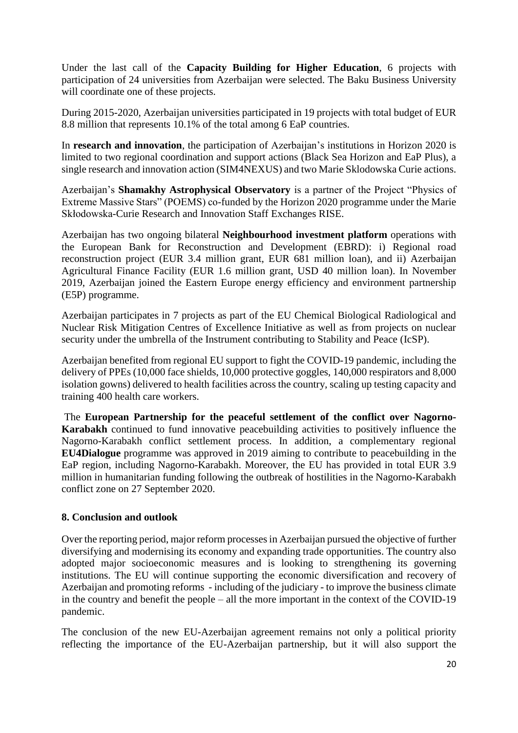Under the last call of the **Capacity Building for Higher Education**, 6 projects with participation of 24 universities from Azerbaijan were selected. The Baku Business University will coordinate one of these projects.

During 2015-2020, Azerbaijan universities participated in 19 projects with total budget of EUR 8.8 million that represents 10.1% of the total among 6 EaP countries.

In **research and innovation**, the participation of Azerbaijan's institutions in Horizon 2020 is limited to two regional coordination and support actions (Black Sea Horizon and EaP Plus), a single research and innovation action (SIM4NEXUS) and two Marie Sklodowska Curie actions.

Azerbaijan's **Shamakhy Astrophysical Observatory** is a partner of the Project "Physics of Extreme Massive Stars" (POEMS) co-funded by the Horizon 2020 programme under the Marie Skłodowska-Curie Research and Innovation Staff Exchanges RISE.

Azerbaijan has two ongoing bilateral **Neighbourhood investment platform** operations with the European Bank for Reconstruction and Development (EBRD): i) Regional road reconstruction project (EUR 3.4 million grant, EUR 681 million loan), and ii) Azerbaijan Agricultural Finance Facility (EUR 1.6 million grant, USD 40 million loan). In November 2019, Azerbaijan joined the Eastern Europe energy efficiency and environment partnership (E5P) programme.

Azerbaijan participates in 7 projects as part of the EU Chemical Biological Radiological and Nuclear Risk Mitigation Centres of Excellence Initiative as well as from projects on nuclear security under the umbrella of the Instrument contributing to Stability and Peace (IcSP).

Azerbaijan benefited from regional EU support to fight the COVID-19 pandemic, including the delivery of PPEs (10,000 face shields, 10,000 protective goggles, 140,000 respirators and 8,000 isolation gowns) delivered to health facilities across the country, scaling up testing capacity and training 400 health care workers.

The **European Partnership for the peaceful settlement of the conflict over Nagorno-Karabakh** continued to fund innovative peacebuilding activities to positively influence the Nagorno-Karabakh conflict settlement process. In addition, a complementary regional **EU4Dialogue** programme was approved in 2019 aiming to contribute to peacebuilding in the EaP region, including Nagorno-Karabakh. Moreover, the EU has provided in total EUR 3.9 million in humanitarian funding following the outbreak of hostilities in the Nagorno-Karabakh conflict zone on 27 September 2020.

## **8. Conclusion and outlook**

Over the reporting period, major reform processesin Azerbaijan pursued the objective of further diversifying and modernising its economy and expanding trade opportunities. The country also adopted major socioeconomic measures and is looking to strengthening its governing institutions. The EU will continue supporting the economic diversification and recovery of Azerbaijan and promoting reforms - including of the judiciary - to improve the business climate in the country and benefit the people – all the more important in the context of the COVID-19 pandemic.

The conclusion of the new EU-Azerbaijan agreement remains not only a political priority reflecting the importance of the EU-Azerbaijan partnership, but it will also support the